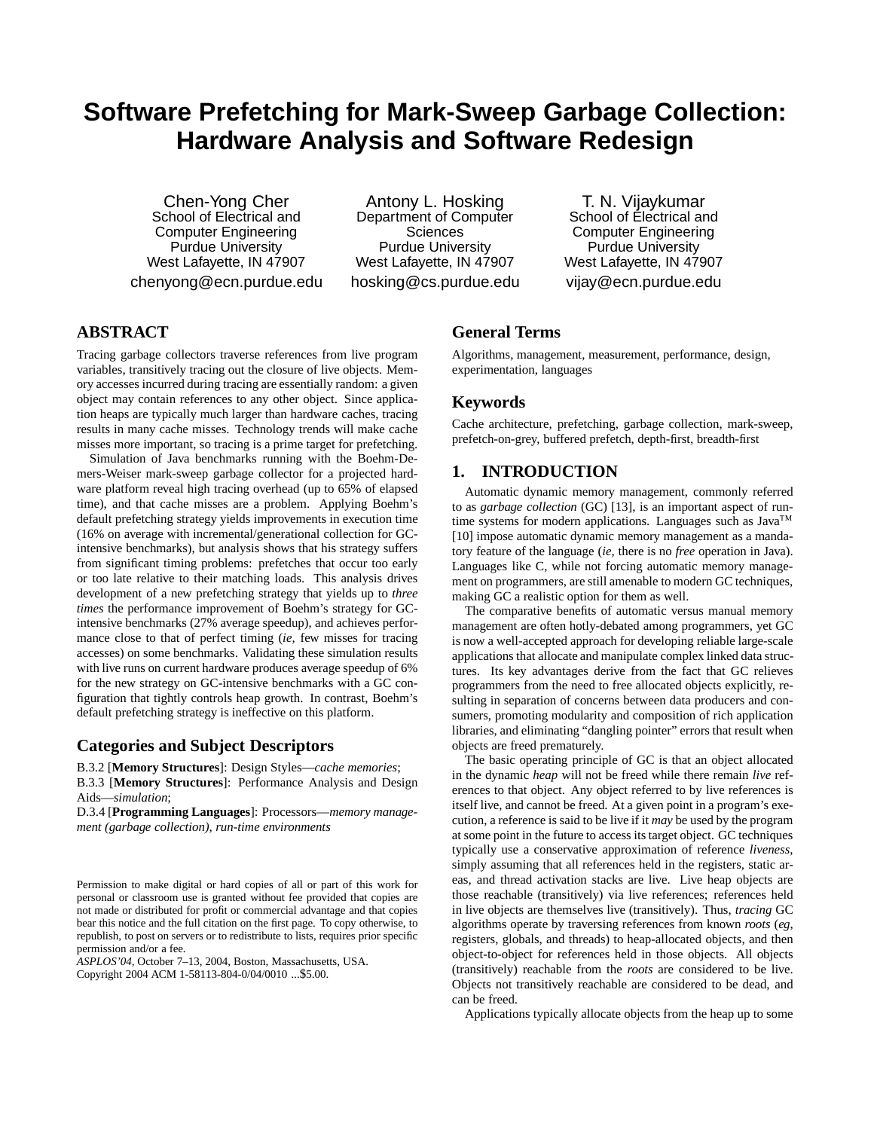# **Software Prefetching for Mark-Sweep Garbage Collection: Hardware Analysis and Software Redesign**

Chen-Yong Cher School of Electrical and Computer Engineering Purdue University West Lafayette, IN 47907 chenyong@ecn.purdue.edu

Antony L. Hosking Department of Computer **Sciences** Purdue University West Lafayette, IN 47907 hosking@cs.purdue.edu

T. N. Vijaykumar School of Electrical and Computer Engineering Purdue University West Lafayette, IN 47907 vijay@ecn.purdue.edu

# **ABSTRACT**

Tracing garbage collectors traverse references from live program variables, transitively tracing out the closure of live objects. Memory accesses incurred during tracing are essentially random: a given object may contain references to any other object. Since application heaps are typically much larger than hardware caches, tracing results in many cache misses. Technology trends will make cache misses more important, so tracing is a prime target for prefetching.

Simulation of Java benchmarks running with the Boehm-Demers-Weiser mark-sweep garbage collector for a projected hardware platform reveal high tracing overhead (up to 65% of elapsed time), and that cache misses are a problem. Applying Boehm's default prefetching strategy yields improvements in execution time (16% on average with incremental/generational collection for GCintensive benchmarks), but analysis shows that his strategy suffers from significant timing problems: prefetches that occur too early or too late relative to their matching loads. This analysis drives development of a new prefetching strategy that yields up to *three times* the performance improvement of Boehm's strategy for GCintensive benchmarks (27% average speedup), and achieves performance close to that of perfect timing (*ie*, few misses for tracing accesses) on some benchmarks. Validating these simulation results with live runs on current hardware produces average speedup of 6% for the new strategy on GC-intensive benchmarks with a GC configuration that tightly controls heap growth. In contrast, Boehm's default prefetching strategy is ineffective on this platform.

#### **Categories and Subject Descriptors**

B.3.2 [**Memory Structures**]: Design Styles—*cache memories*; B.3.3 [**Memory Structures**]: Performance Analysis and Design Aids—*simulation*;

D.3.4 [**Programming Languages**]: Processors—*memory management (garbage collection), run-time environments*

*ASPLOS'04,* October 7–13, 2004, Boston, Massachusetts, USA. Copyright 2004 ACM 1-58113-804-0/04/0010 ...\$5.00.

#### **General Terms**

Algorithms, management, measurement, performance, design, experimentation, languages

#### **Keywords**

Cache architecture, prefetching, garbage collection, mark-sweep, prefetch-on-grey, buffered prefetch, depth-first, breadth-first

# **1. INTRODUCTION**

Automatic dynamic memory management, commonly referred to as *garbage collection* (GC) [13], is an important aspect of runtime systems for modern applications. Languages such as Java<sup>TM</sup> [10] impose automatic dynamic memory management as a mandatory feature of the language (*ie*, there is no *free* operation in Java). Languages like C, while not forcing automatic memory management on programmers, are still amenable to modern GC techniques, making GC a realistic option for them as well.

The comparative benefits of automatic versus manual memory management are often hotly-debated among programmers, yet GC is now a well-accepted approach for developing reliable large-scale applications that allocate and manipulate complex linked data structures. Its key advantages derive from the fact that GC relieves programmers from the need to free allocated objects explicitly, resulting in separation of concerns between data producers and consumers, promoting modularity and composition of rich application libraries, and eliminating "dangling pointer" errors that result when objects are freed prematurely.

The basic operating principle of GC is that an object allocated in the dynamic *heap* will not be freed while there remain *live* references to that object. Any object referred to by live references is itself live, and cannot be freed. At a given point in a program's execution, a reference is said to be live if it *may* be used by the program at some point in the future to access its target object. GC techniques typically use a conservative approximation of reference *liveness*, simply assuming that all references held in the registers, static areas, and thread activation stacks are live. Live heap objects are those reachable (transitively) via live references; references held in live objects are themselves live (transitively). Thus, *tracing* GC algorithms operate by traversing references from known *roots* (*eg*, registers, globals, and threads) to heap-allocated objects, and then object-to-object for references held in those objects. All objects (transitively) reachable from the *roots* are considered to be live. Objects not transitively reachable are considered to be dead, and can be freed.

Applications typically allocate objects from the heap up to some

Permission to make digital or hard copies of all or part of this work for personal or classroom use is granted without fee provided that copies are not made or distributed for profit or commercial advantage and that copies bear this notice and the full citation on the first page. To copy otherwise, to republish, to post on servers or to redistribute to lists, requires prior specific permission and/or a fee.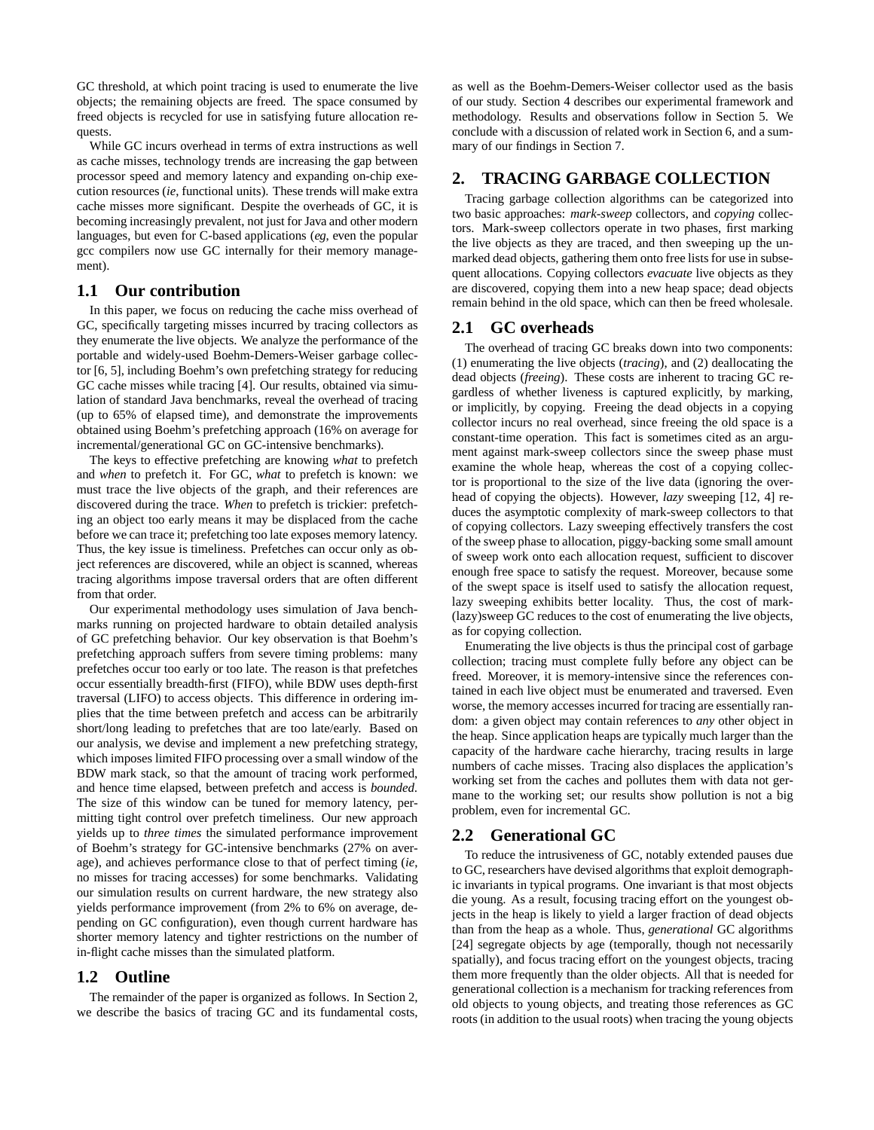GC threshold, at which point tracing is used to enumerate the live objects; the remaining objects are freed. The space consumed by freed objects is recycled for use in satisfying future allocation requests.

While GC incurs overhead in terms of extra instructions as well as cache misses, technology trends are increasing the gap between processor speed and memory latency and expanding on-chip execution resources (*ie*, functional units). These trends will make extra cache misses more significant. Despite the overheads of GC, it is becoming increasingly prevalent, not just for Java and other modern languages, but even for C-based applications (*eg*, even the popular gcc compilers now use GC internally for their memory management).

# **1.1 Our contribution**

In this paper, we focus on reducing the cache miss overhead of GC, specifically targeting misses incurred by tracing collectors as they enumerate the live objects. We analyze the performance of the portable and widely-used Boehm-Demers-Weiser garbage collector [6, 5], including Boehm's own prefetching strategy for reducing GC cache misses while tracing [4]. Our results, obtained via simulation of standard Java benchmarks, reveal the overhead of tracing (up to 65% of elapsed time), and demonstrate the improvements obtained using Boehm's prefetching approach (16% on average for incremental/generational GC on GC-intensive benchmarks).

The keys to effective prefetching are knowing *what* to prefetch and *when* to prefetch it. For GC, *what* to prefetch is known: we must trace the live objects of the graph, and their references are discovered during the trace. *When* to prefetch is trickier: prefetching an object too early means it may be displaced from the cache before we can trace it; prefetching too late exposes memory latency. Thus, the key issue is timeliness. Prefetches can occur only as object references are discovered, while an object is scanned, whereas tracing algorithms impose traversal orders that are often different from that order.

Our experimental methodology uses simulation of Java benchmarks running on projected hardware to obtain detailed analysis of GC prefetching behavior. Our key observation is that Boehm's prefetching approach suffers from severe timing problems: many prefetches occur too early or too late. The reason is that prefetches occur essentially breadth-first (FIFO), while BDW uses depth-first traversal (LIFO) to access objects. This difference in ordering implies that the time between prefetch and access can be arbitrarily short/long leading to prefetches that are too late/early. Based on our analysis, we devise and implement a new prefetching strategy, which imposes limited FIFO processing over a small window of the BDW mark stack, so that the amount of tracing work performed, and hence time elapsed, between prefetch and access is *bounded*. The size of this window can be tuned for memory latency, permitting tight control over prefetch timeliness. Our new approach yields up to *three times* the simulated performance improvement of Boehm's strategy for GC-intensive benchmarks (27% on average), and achieves performance close to that of perfect timing (*ie*, no misses for tracing accesses) for some benchmarks. Validating our simulation results on current hardware, the new strategy also yields performance improvement (from 2% to 6% on average, depending on GC configuration), even though current hardware has shorter memory latency and tighter restrictions on the number of in-flight cache misses than the simulated platform.

# **1.2 Outline**

The remainder of the paper is organized as follows. In Section 2, we describe the basics of tracing GC and its fundamental costs, as well as the Boehm-Demers-Weiser collector used as the basis of our study. Section 4 describes our experimental framework and methodology. Results and observations follow in Section 5. We conclude with a discussion of related work in Section 6, and a summary of our findings in Section 7.

# **2. TRACING GARBAGE COLLECTION**

Tracing garbage collection algorithms can be categorized into two basic approaches: *mark-sweep* collectors, and *copying* collectors. Mark-sweep collectors operate in two phases, first marking the live objects as they are traced, and then sweeping up the unmarked dead objects, gathering them onto free lists for use in subsequent allocations. Copying collectors *evacuate* live objects as they are discovered, copying them into a new heap space; dead objects remain behind in the old space, which can then be freed wholesale.

#### **2.1 GC overheads**

The overhead of tracing GC breaks down into two components: (1) enumerating the live objects (*tracing*), and (2) deallocating the dead objects (*freeing*). These costs are inherent to tracing GC regardless of whether liveness is captured explicitly, by marking, or implicitly, by copying. Freeing the dead objects in a copying collector incurs no real overhead, since freeing the old space is a constant-time operation. This fact is sometimes cited as an argument against mark-sweep collectors since the sweep phase must examine the whole heap, whereas the cost of a copying collector is proportional to the size of the live data (ignoring the overhead of copying the objects). However, *lazy* sweeping [12, 4] reduces the asymptotic complexity of mark-sweep collectors to that of copying collectors. Lazy sweeping effectively transfers the cost of the sweep phase to allocation, piggy-backing some small amount of sweep work onto each allocation request, sufficient to discover enough free space to satisfy the request. Moreover, because some of the swept space is itself used to satisfy the allocation request, lazy sweeping exhibits better locality. Thus, the cost of mark- (lazy)sweep GC reduces to the cost of enumerating the live objects, as for copying collection.

Enumerating the live objects is thus the principal cost of garbage collection; tracing must complete fully before any object can be freed. Moreover, it is memory-intensive since the references contained in each live object must be enumerated and traversed. Even worse, the memory accesses incurred for tracing are essentially random: a given object may contain references to *any* other object in the heap. Since application heaps are typically much larger than the capacity of the hardware cache hierarchy, tracing results in large numbers of cache misses. Tracing also displaces the application's working set from the caches and pollutes them with data not germane to the working set; our results show pollution is not a big problem, even for incremental GC.

# **2.2 Generational GC**

To reduce the intrusiveness of GC, notably extended pauses due to GC, researchers have devised algorithms that exploit demographic invariants in typical programs. One invariant is that most objects die young. As a result, focusing tracing effort on the youngest objects in the heap is likely to yield a larger fraction of dead objects than from the heap as a whole. Thus, *generational* GC algorithms [24] segregate objects by age (temporally, though not necessarily spatially), and focus tracing effort on the youngest objects, tracing them more frequently than the older objects. All that is needed for generational collection is a mechanism for tracking references from old objects to young objects, and treating those references as GC roots (in addition to the usual roots) when tracing the young objects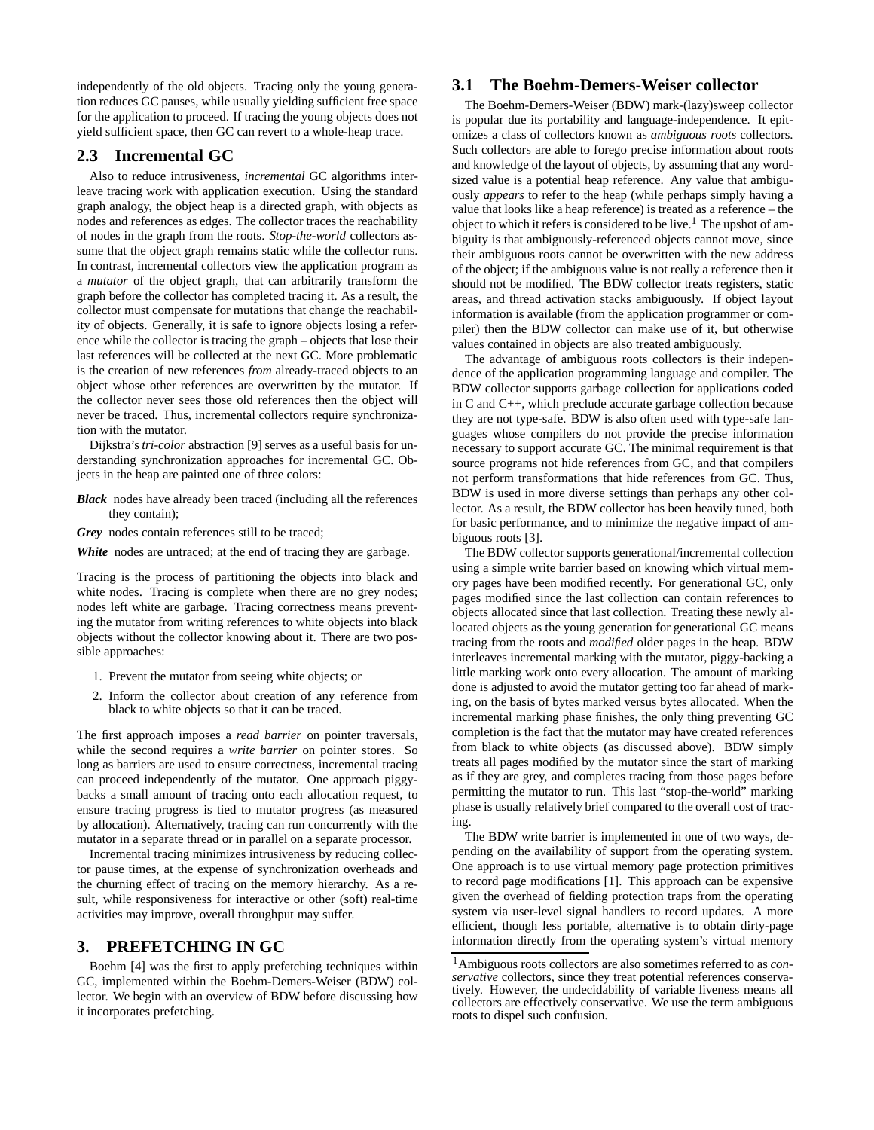independently of the old objects. Tracing only the young generation reduces GC pauses, while usually yielding sufficient free space for the application to proceed. If tracing the young objects does not yield sufficient space, then GC can revert to a whole-heap trace.

# **2.3 Incremental GC**

Also to reduce intrusiveness, *incremental* GC algorithms interleave tracing work with application execution. Using the standard graph analogy, the object heap is a directed graph, with objects as nodes and references as edges. The collector traces the reachability of nodes in the graph from the roots. *Stop-the-world* collectors assume that the object graph remains static while the collector runs. In contrast, incremental collectors view the application program as a *mutator* of the object graph, that can arbitrarily transform the graph before the collector has completed tracing it. As a result, the collector must compensate for mutations that change the reachability of objects. Generally, it is safe to ignore objects losing a reference while the collector is tracing the graph – objects that lose their last references will be collected at the next GC. More problematic is the creation of new references *from* already-traced objects to an object whose other references are overwritten by the mutator. If the collector never sees those old references then the object will never be traced. Thus, incremental collectors require synchronization with the mutator.

Dijkstra's *tri-color* abstraction [9] serves as a useful basis for understanding synchronization approaches for incremental GC. Objects in the heap are painted one of three colors:

*Black* nodes have already been traced (including all the references they contain);

*Grey* nodes contain references still to be traced;

*White* nodes are untraced; at the end of tracing they are garbage.

Tracing is the process of partitioning the objects into black and white nodes. Tracing is complete when there are no grey nodes; nodes left white are garbage. Tracing correctness means preventing the mutator from writing references to white objects into black objects without the collector knowing about it. There are two possible approaches:

- 1. Prevent the mutator from seeing white objects; or
- 2. Inform the collector about creation of any reference from black to white objects so that it can be traced.

The first approach imposes a *read barrier* on pointer traversals, while the second requires a *write barrier* on pointer stores. So long as barriers are used to ensure correctness, incremental tracing can proceed independently of the mutator. One approach piggybacks a small amount of tracing onto each allocation request, to ensure tracing progress is tied to mutator progress (as measured by allocation). Alternatively, tracing can run concurrently with the mutator in a separate thread or in parallel on a separate processor.

Incremental tracing minimizes intrusiveness by reducing collector pause times, at the expense of synchronization overheads and the churning effect of tracing on the memory hierarchy. As a result, while responsiveness for interactive or other (soft) real-time activities may improve, overall throughput may suffer.

# **3. PREFETCHING IN GC**

Boehm [4] was the first to apply prefetching techniques within GC, implemented within the Boehm-Demers-Weiser (BDW) collector. We begin with an overview of BDW before discussing how it incorporates prefetching.

# **3.1 The Boehm-Demers-Weiser collector**

The Boehm-Demers-Weiser (BDW) mark-(lazy)sweep collector is popular due its portability and language-independence. It epitomizes a class of collectors known as *ambiguous roots* collectors. Such collectors are able to forego precise information about roots and knowledge of the layout of objects, by assuming that any wordsized value is a potential heap reference. Any value that ambiguously *appears* to refer to the heap (while perhaps simply having a value that looks like a heap reference) is treated as a reference – the object to which it refers is considered to be live.<sup>1</sup> The upshot of ambiguity is that ambiguously-referenced objects cannot move, since their ambiguous roots cannot be overwritten with the new address of the object; if the ambiguous value is not really a reference then it should not be modified. The BDW collector treats registers, static areas, and thread activation stacks ambiguously. If object layout information is available (from the application programmer or compiler) then the BDW collector can make use of it, but otherwise values contained in objects are also treated ambiguously.

The advantage of ambiguous roots collectors is their independence of the application programming language and compiler. The BDW collector supports garbage collection for applications coded in C and C++, which preclude accurate garbage collection because they are not type-safe. BDW is also often used with type-safe languages whose compilers do not provide the precise information necessary to support accurate GC. The minimal requirement is that source programs not hide references from GC, and that compilers not perform transformations that hide references from GC. Thus, BDW is used in more diverse settings than perhaps any other collector. As a result, the BDW collector has been heavily tuned, both for basic performance, and to minimize the negative impact of ambiguous roots [3].

The BDW collector supports generational/incremental collection using a simple write barrier based on knowing which virtual memory pages have been modified recently. For generational GC, only pages modified since the last collection can contain references to objects allocated since that last collection. Treating these newly allocated objects as the young generation for generational GC means tracing from the roots and *modified* older pages in the heap. BDW interleaves incremental marking with the mutator, piggy-backing a little marking work onto every allocation. The amount of marking done is adjusted to avoid the mutator getting too far ahead of marking, on the basis of bytes marked versus bytes allocated. When the incremental marking phase finishes, the only thing preventing GC completion is the fact that the mutator may have created references from black to white objects (as discussed above). BDW simply treats all pages modified by the mutator since the start of marking as if they are grey, and completes tracing from those pages before permitting the mutator to run. This last "stop-the-world" marking phase is usually relatively brief compared to the overall cost of tracing.

The BDW write barrier is implemented in one of two ways, depending on the availability of support from the operating system. One approach is to use virtual memory page protection primitives to record page modifications [1]. This approach can be expensive given the overhead of fielding protection traps from the operating system via user-level signal handlers to record updates. A more efficient, though less portable, alternative is to obtain dirty-page information directly from the operating system's virtual memory

<sup>1</sup>Ambiguous roots collectors are also sometimes referred to as *conservative* collectors, since they treat potential references conservatively. However, the undecidability of variable liveness means all collectors are effectively conservative. We use the term ambiguous roots to dispel such confusion.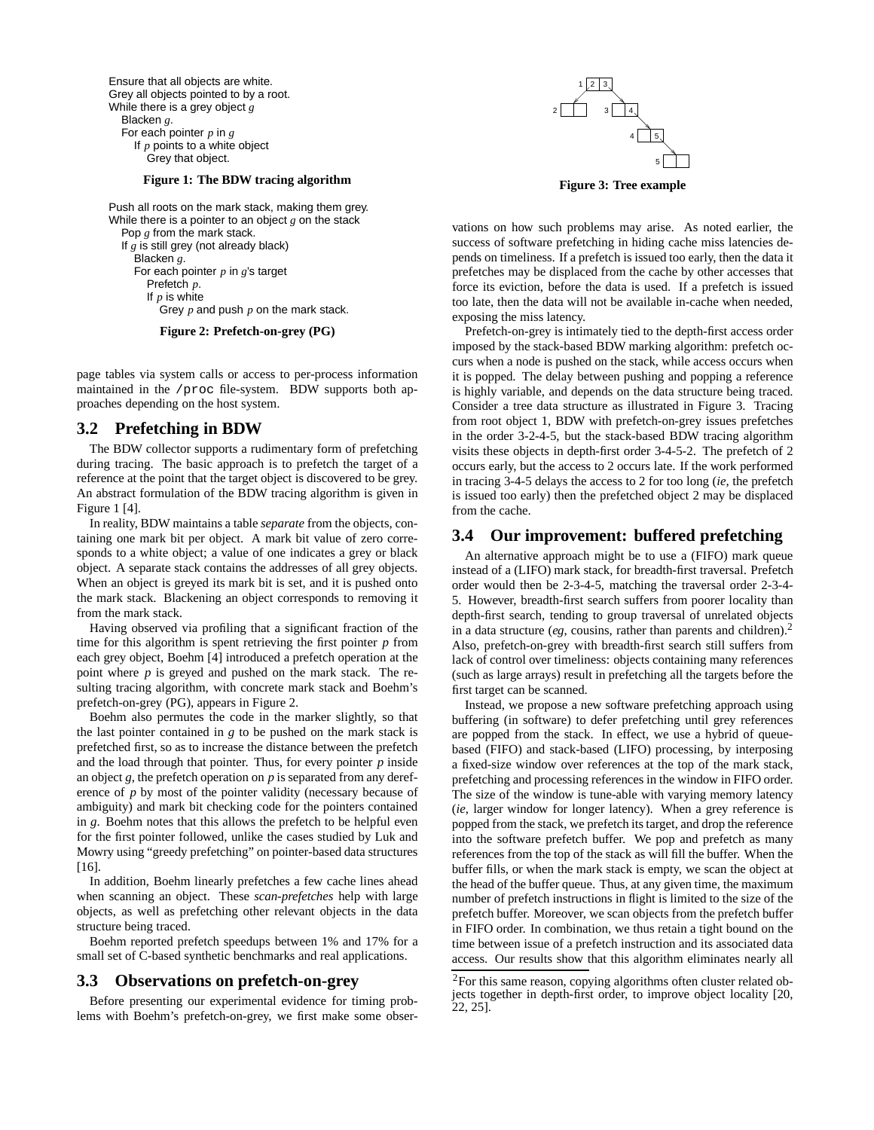Ensure that all objects are white. Grey all objects pointed to by a root. While there is a grey object *g* Blacken *g*. For each pointer *p* in *g* If *p* points to a white object Grey that object.

#### **Figure 1: The BDW tracing algorithm**

Push all roots on the mark stack, making them grey. While there is a pointer to an object *g* on the stack Pop *g* from the mark stack. If *g* is still grey (not already black) Blacken *g*. For each pointer *p* in *g*'s target Prefetch *p*. If *p* is white Grey *p* and push *p* on the mark stack.

**Figure 2: Prefetch-on-grey (PG)**

page tables via system calls or access to per-process information maintained in the /proc file-system. BDW supports both approaches depending on the host system.

#### **3.2 Prefetching in BDW**

The BDW collector supports a rudimentary form of prefetching during tracing. The basic approach is to prefetch the target of a reference at the point that the target object is discovered to be grey. An abstract formulation of the BDW tracing algorithm is given in Figure 1 [4].

In reality, BDW maintains a table *separate* from the objects, containing one mark bit per object. A mark bit value of zero corresponds to a white object; a value of one indicates a grey or black object. A separate stack contains the addresses of all grey objects. When an object is greyed its mark bit is set, and it is pushed onto the mark stack. Blackening an object corresponds to removing it from the mark stack.

Having observed via profiling that a significant fraction of the time for this algorithm is spent retrieving the first pointer *p* from each grey object, Boehm [4] introduced a prefetch operation at the point where *p* is greyed and pushed on the mark stack. The resulting tracing algorithm, with concrete mark stack and Boehm's prefetch-on-grey (PG), appears in Figure 2.

Boehm also permutes the code in the marker slightly, so that the last pointer contained in *g* to be pushed on the mark stack is prefetched first, so as to increase the distance between the prefetch and the load through that pointer. Thus, for every pointer  $p$  inside an object *g*, the prefetch operation on *p* is separated from any dereference of *p* by most of the pointer validity (necessary because of ambiguity) and mark bit checking code for the pointers contained in *g*. Boehm notes that this allows the prefetch to be helpful even for the first pointer followed, unlike the cases studied by Luk and Mowry using "greedy prefetching" on pointer-based data structures [16].

In addition, Boehm linearly prefetches a few cache lines ahead when scanning an object. These *scan-prefetches* help with large objects, as well as prefetching other relevant objects in the data structure being traced.

Boehm reported prefetch speedups between 1% and 17% for a small set of C-based synthetic benchmarks and real applications.

#### **3.3 Observations on prefetch-on-grey**

Before presenting our experimental evidence for timing problems with Boehm's prefetch-on-grey, we first make some obser-



**Figure 3: Tree example**

vations on how such problems may arise. As noted earlier, the success of software prefetching in hiding cache miss latencies depends on timeliness. If a prefetch is issued too early, then the data it prefetches may be displaced from the cache by other accesses that force its eviction, before the data is used. If a prefetch is issued too late, then the data will not be available in-cache when needed, exposing the miss latency.

Prefetch-on-grey is intimately tied to the depth-first access order imposed by the stack-based BDW marking algorithm: prefetch occurs when a node is pushed on the stack, while access occurs when it is popped. The delay between pushing and popping a reference is highly variable, and depends on the data structure being traced. Consider a tree data structure as illustrated in Figure 3. Tracing from root object 1, BDW with prefetch-on-grey issues prefetches in the order 3-2-4-5, but the stack-based BDW tracing algorithm visits these objects in depth-first order 3-4-5-2. The prefetch of 2 occurs early, but the access to 2 occurs late. If the work performed in tracing 3-4-5 delays the access to 2 for too long (*ie*, the prefetch is issued too early) then the prefetched object 2 may be displaced from the cache.

#### **3.4 Our improvement: buffered prefetching**

An alternative approach might be to use a (FIFO) mark queue instead of a (LIFO) mark stack, for breadth-first traversal. Prefetch order would then be 2-3-4-5, matching the traversal order 2-3-4- 5. However, breadth-first search suffers from poorer locality than depth-first search, tending to group traversal of unrelated objects in a data structure ( $eg$ , cousins, rather than parents and children).<sup>2</sup> Also, prefetch-on-grey with breadth-first search still suffers from lack of control over timeliness: objects containing many references (such as large arrays) result in prefetching all the targets before the first target can be scanned.

Instead, we propose a new software prefetching approach using buffering (in software) to defer prefetching until grey references are popped from the stack. In effect, we use a hybrid of queuebased (FIFO) and stack-based (LIFO) processing, by interposing a fixed-size window over references at the top of the mark stack, prefetching and processing references in the window in FIFO order. The size of the window is tune-able with varying memory latency (*ie*, larger window for longer latency). When a grey reference is popped from the stack, we prefetch its target, and drop the reference into the software prefetch buffer. We pop and prefetch as many references from the top of the stack as will fill the buffer. When the buffer fills, or when the mark stack is empty, we scan the object at the head of the buffer queue. Thus, at any given time, the maximum number of prefetch instructions in flight is limited to the size of the prefetch buffer. Moreover, we scan objects from the prefetch buffer in FIFO order. In combination, we thus retain a tight bound on the time between issue of a prefetch instruction and its associated data access. Our results show that this algorithm eliminates nearly all

<sup>2</sup>For this same reason, copying algorithms often cluster related objects together in depth-first order, to improve object locality [20, 22, 25].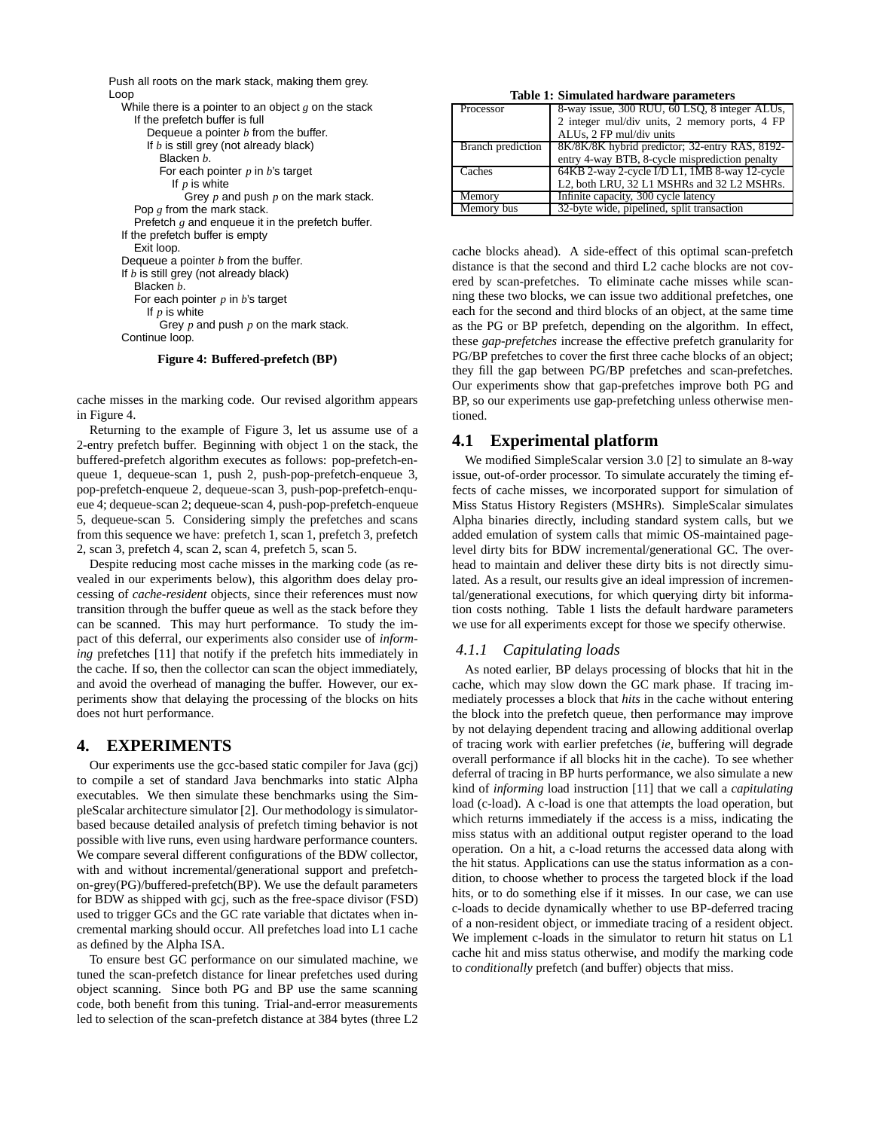Push all roots on the mark stack, making them grey. Loop

| While there is a pointer to an object $g$ on the stack<br>If the prefetch buffer is full<br>Dequeue a pointer $b$ from the buffer.<br>If $b$ is still grey (not already black) |
|--------------------------------------------------------------------------------------------------------------------------------------------------------------------------------|
| Blacken b.                                                                                                                                                                     |
| For each pointer $p$ in $b$ 's target<br>If $p$ is white                                                                                                                       |
| Grey $p$ and push $p$ on the mark stack.                                                                                                                                       |
| Pop $g$ from the mark stack.                                                                                                                                                   |
| Prefetch $g$ and enqueue it in the prefetch buffer.                                                                                                                            |
| If the prefetch buffer is empty                                                                                                                                                |
| Exit loop.                                                                                                                                                                     |
| Dequeue a pointer $b$ from the buffer.                                                                                                                                         |
| If $b$ is still grey (not already black)                                                                                                                                       |
| Blacken b.                                                                                                                                                                     |
| For each pointer $p$ in $b$ 's target                                                                                                                                          |
| If $p$ is white                                                                                                                                                                |
| Grey $p$ and push $p$ on the mark stack.                                                                                                                                       |
| Continue loop.                                                                                                                                                                 |

**Figure 4: Buffered-prefetch (BP)**

cache misses in the marking code. Our revised algorithm appears in Figure 4.

Returning to the example of Figure 3, let us assume use of a 2-entry prefetch buffer. Beginning with object 1 on the stack, the buffered-prefetch algorithm executes as follows: pop-prefetch-enqueue 1, dequeue-scan 1, push 2, push-pop-prefetch-enqueue 3, pop-prefetch-enqueue 2, dequeue-scan 3, push-pop-prefetch-enqueue 4; dequeue-scan 2; dequeue-scan 4, push-pop-prefetch-enqueue 5, dequeue-scan 5. Considering simply the prefetches and scans from this sequence we have: prefetch 1, scan 1, prefetch 3, prefetch 2, scan 3, prefetch 4, scan 2, scan 4, prefetch 5, scan 5.

Despite reducing most cache misses in the marking code (as revealed in our experiments below), this algorithm does delay processing of *cache-resident* objects, since their references must now transition through the buffer queue as well as the stack before they can be scanned. This may hurt performance. To study the impact of this deferral, our experiments also consider use of *informing* prefetches [11] that notify if the prefetch hits immediately in the cache. If so, then the collector can scan the object immediately, and avoid the overhead of managing the buffer. However, our experiments show that delaying the processing of the blocks on hits does not hurt performance.

# **4. EXPERIMENTS**

Our experiments use the gcc-based static compiler for Java (gcj) to compile a set of standard Java benchmarks into static Alpha executables. We then simulate these benchmarks using the SimpleScalar architecture simulator [2]. Our methodology is simulatorbased because detailed analysis of prefetch timing behavior is not possible with live runs, even using hardware performance counters. We compare several different configurations of the BDW collector, with and without incremental/generational support and prefetchon-grey(PG)/buffered-prefetch(BP). We use the default parameters for BDW as shipped with gcj, such as the free-space divisor (FSD) used to trigger GCs and the GC rate variable that dictates when incremental marking should occur. All prefetches load into L1 cache as defined by the Alpha ISA.

To ensure best GC performance on our simulated machine, we tuned the scan-prefetch distance for linear prefetches used during object scanning. Since both PG and BP use the same scanning code, both benefit from this tuning. Trial-and-error measurements led to selection of the scan-prefetch distance at 384 bytes (three L2

**Table 1: Simulated hardware parameters**

| Processor                | 8-way issue, 300 RUU, 60 LSQ, 8 integer ALUs,  |  |  |  |  |  |  |  |  |  |
|--------------------------|------------------------------------------------|--|--|--|--|--|--|--|--|--|
|                          | 2 integer mul/div units, 2 memory ports, 4 FP  |  |  |  |  |  |  |  |  |  |
|                          | ALUs, 2 FP mul/div units                       |  |  |  |  |  |  |  |  |  |
| <b>Branch prediction</b> | 8K/8K/8K hybrid predictor; 32-entry RAS, 8192- |  |  |  |  |  |  |  |  |  |
|                          | entry 4-way BTB, 8-cycle misprediction penalty |  |  |  |  |  |  |  |  |  |
| <b>Caches</b>            | 64KB 2-way 2-cycle I/D L1, 1MB 8-way 12-cycle  |  |  |  |  |  |  |  |  |  |
|                          | L2, both LRU, 32 L1 MSHRs and 32 L2 MSHRs.     |  |  |  |  |  |  |  |  |  |
| Memory                   | Infinite capacity, 300 cycle latency           |  |  |  |  |  |  |  |  |  |
| Memory bus               | 32-byte wide, pipelined, split transaction     |  |  |  |  |  |  |  |  |  |

cache blocks ahead). A side-effect of this optimal scan-prefetch distance is that the second and third L2 cache blocks are not covered by scan-prefetches. To eliminate cache misses while scanning these two blocks, we can issue two additional prefetches, one each for the second and third blocks of an object, at the same time as the PG or BP prefetch, depending on the algorithm. In effect, these *gap-prefetches* increase the effective prefetch granularity for PG/BP prefetches to cover the first three cache blocks of an object; they fill the gap between PG/BP prefetches and scan-prefetches. Our experiments show that gap-prefetches improve both PG and BP, so our experiments use gap-prefetching unless otherwise mentioned.

# **4.1 Experimental platform**

We modified SimpleScalar version 3.0 [2] to simulate an 8-way issue, out-of-order processor. To simulate accurately the timing effects of cache misses, we incorporated support for simulation of Miss Status History Registers (MSHRs). SimpleScalar simulates Alpha binaries directly, including standard system calls, but we added emulation of system calls that mimic OS-maintained pagelevel dirty bits for BDW incremental/generational GC. The overhead to maintain and deliver these dirty bits is not directly simulated. As a result, our results give an ideal impression of incremental/generational executions, for which querying dirty bit information costs nothing. Table 1 lists the default hardware parameters we use for all experiments except for those we specify otherwise.

#### *4.1.1 Capitulating loads*

As noted earlier, BP delays processing of blocks that hit in the cache, which may slow down the GC mark phase. If tracing immediately processes a block that *hits* in the cache without entering the block into the prefetch queue, then performance may improve by not delaying dependent tracing and allowing additional overlap of tracing work with earlier prefetches (*ie*, buffering will degrade overall performance if all blocks hit in the cache). To see whether deferral of tracing in BP hurts performance, we also simulate a new kind of *informing* load instruction [11] that we call a *capitulating* load (c-load). A c-load is one that attempts the load operation, but which returns immediately if the access is a miss, indicating the miss status with an additional output register operand to the load operation. On a hit, a c-load returns the accessed data along with the hit status. Applications can use the status information as a condition, to choose whether to process the targeted block if the load hits, or to do something else if it misses. In our case, we can use c-loads to decide dynamically whether to use BP-deferred tracing of a non-resident object, or immediate tracing of a resident object. We implement c-loads in the simulator to return hit status on L1 cache hit and miss status otherwise, and modify the marking code to *conditionally* prefetch (and buffer) objects that miss.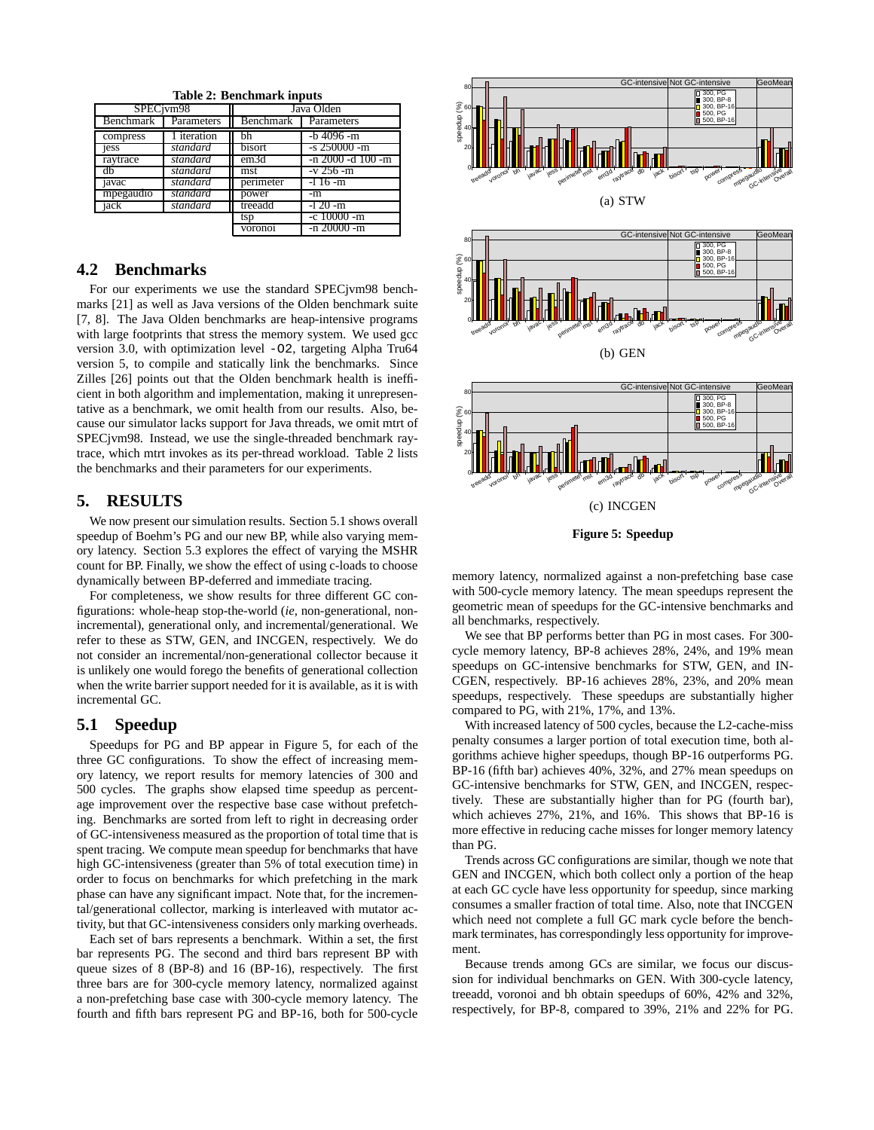| наріс 2. репенніці к пірав |             |                  |                   |  |  |  |  |  |  |  |  |
|----------------------------|-------------|------------------|-------------------|--|--|--|--|--|--|--|--|
| SPECivm98                  |             |                  | Java Olden        |  |  |  |  |  |  |  |  |
| Benchmark                  | Parameters  | Benchmark        | Parameters        |  |  |  |  |  |  |  |  |
| compress                   | 1 iteration | Ъħ               | -b 4096 -m        |  |  |  |  |  |  |  |  |
| jess                       | standard    | bisort           | -s 250000 -m      |  |  |  |  |  |  |  |  |
| raytrace                   | standard    | em <sub>3d</sub> | -n 2000 -d 100 -m |  |  |  |  |  |  |  |  |
| db                         | standard    | mst              | -v 256 -m         |  |  |  |  |  |  |  |  |
| javac                      | standard    | perimeter        | -I 16 -m          |  |  |  |  |  |  |  |  |
| mpegaudio                  | standard    | power            | -m                |  |  |  |  |  |  |  |  |
| $i$ ack                    | standard    | treeadd          | -1 20 -m          |  |  |  |  |  |  |  |  |
|                            |             | tsp              | -c 10000 -m       |  |  |  |  |  |  |  |  |
|                            |             | voronoi          | -n 20000 -m       |  |  |  |  |  |  |  |  |

**Table 2: Benchmark inputs**

## **4.2 Benchmarks**

For our experiments we use the standard SPECjvm98 benchmarks [21] as well as Java versions of the Olden benchmark suite [7, 8]. The Java Olden benchmarks are heap-intensive programs with large footprints that stress the memory system. We used gcc version 3.0, with optimization level -O2, targeting Alpha Tru64 version 5, to compile and statically link the benchmarks. Since Zilles [26] points out that the Olden benchmark health is inefficient in both algorithm and implementation, making it unrepresentative as a benchmark, we omit health from our results. Also, because our simulator lacks support for Java threads, we omit mtrt of SPECjvm98. Instead, we use the single-threaded benchmark raytrace, which mtrt invokes as its per-thread workload. Table 2 lists the benchmarks and their parameters for our experiments.

#### **5. RESULTS**

We now present our simulation results. Section 5.1 shows overall speedup of Boehm's PG and our new BP, while also varying memory latency. Section 5.3 explores the effect of varying the MSHR count for BP. Finally, we show the effect of using c-loads to choose dynamically between BP-deferred and immediate tracing.

For completeness, we show results for three different GC configurations: whole-heap stop-the-world (*ie*, non-generational, nonincremental), generational only, and incremental/generational. We refer to these as STW, GEN, and INCGEN, respectively. We do not consider an incremental/non-generational collector because it is unlikely one would forego the benefits of generational collection when the write barrier support needed for it is available, as it is with incremental GC.

#### **5.1 Speedup**

Speedups for PG and BP appear in Figure 5, for each of the three GC configurations. To show the effect of increasing memory latency, we report results for memory latencies of 300 and 500 cycles. The graphs show elapsed time speedup as percentage improvement over the respective base case without prefetching. Benchmarks are sorted from left to right in decreasing order of GC-intensiveness measured as the proportion of total time that is spent tracing. We compute mean speedup for benchmarks that have high GC-intensiveness (greater than 5% of total execution time) in order to focus on benchmarks for which prefetching in the mark phase can have any significant impact. Note that, for the incremental/generational collector, marking is interleaved with mutator activity, but that GC-intensiveness considers only marking overheads.

Each set of bars represents a benchmark. Within a set, the first bar represents PG. The second and third bars represent BP with queue sizes of 8 (BP-8) and 16 (BP-16), respectively. The first three bars are for 300-cycle memory latency, normalized against a non-prefetching base case with 300-cycle memory latency. The fourth and fifth bars represent PG and BP-16, both for 500-cycle



memory latency, normalized against a non-prefetching base case with 500-cycle memory latency. The mean speedups represent the geometric mean of speedups for the GC-intensive benchmarks and all benchmarks, respectively.

We see that BP performs better than PG in most cases. For 300 cycle memory latency, BP-8 achieves 28%, 24%, and 19% mean speedups on GC-intensive benchmarks for STW, GEN, and IN-CGEN, respectively. BP-16 achieves 28%, 23%, and 20% mean speedups, respectively. These speedups are substantially higher compared to PG, with 21%, 17%, and 13%.

With increased latency of 500 cycles, because the L2-cache-miss penalty consumes a larger portion of total execution time, both algorithms achieve higher speedups, though BP-16 outperforms PG. BP-16 (fifth bar) achieves 40%, 32%, and 27% mean speedups on GC-intensive benchmarks for STW, GEN, and INCGEN, respectively. These are substantially higher than for PG (fourth bar), which achieves 27%, 21%, and 16%. This shows that BP-16 is more effective in reducing cache misses for longer memory latency than PG.

Trends across GC configurations are similar, though we note that GEN and INCGEN, which both collect only a portion of the heap at each GC cycle have less opportunity for speedup, since marking consumes a smaller fraction of total time. Also, note that INCGEN which need not complete a full GC mark cycle before the benchmark terminates, has correspondingly less opportunity for improvement.

Because trends among GCs are similar, we focus our discussion for individual benchmarks on GEN. With 300-cycle latency, treeadd, voronoi and bh obtain speedups of 60%, 42% and 32%, respectively, for BP-8, compared to 39%, 21% and 22% for PG.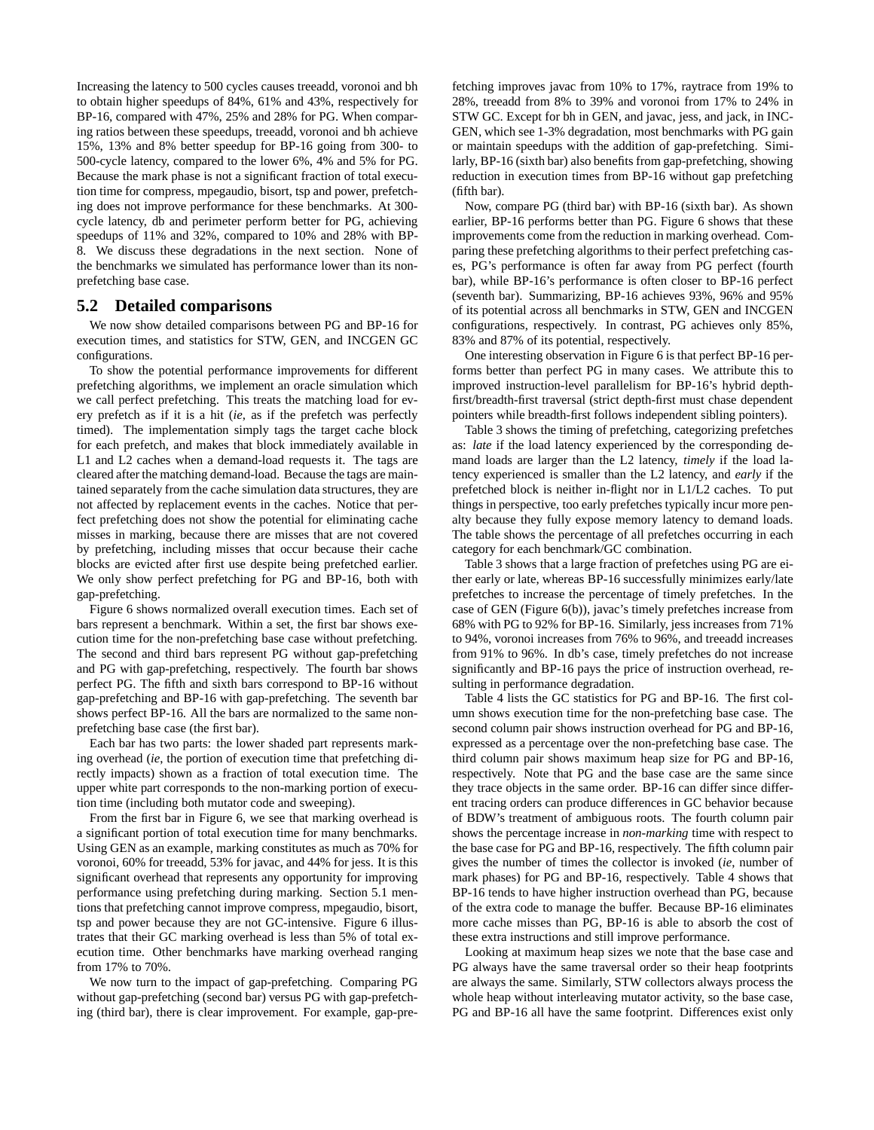Increasing the latency to 500 cycles causes treeadd, voronoi and bh to obtain higher speedups of 84%, 61% and 43%, respectively for BP-16, compared with 47%, 25% and 28% for PG. When comparing ratios between these speedups, treeadd, voronoi and bh achieve 15%, 13% and 8% better speedup for BP-16 going from 300- to 500-cycle latency, compared to the lower 6%, 4% and 5% for PG. Because the mark phase is not a significant fraction of total execution time for compress, mpegaudio, bisort, tsp and power, prefetching does not improve performance for these benchmarks. At 300 cycle latency, db and perimeter perform better for PG, achieving speedups of 11% and 32%, compared to 10% and 28% with BP-8. We discuss these degradations in the next section. None of the benchmarks we simulated has performance lower than its nonprefetching base case.

## **5.2 Detailed comparisons**

We now show detailed comparisons between PG and BP-16 for execution times, and statistics for STW, GEN, and INCGEN GC configurations.

To show the potential performance improvements for different prefetching algorithms, we implement an oracle simulation which we call perfect prefetching. This treats the matching load for every prefetch as if it is a hit (*ie*, as if the prefetch was perfectly timed). The implementation simply tags the target cache block for each prefetch, and makes that block immediately available in L1 and L2 caches when a demand-load requests it. The tags are cleared after the matching demand-load. Because the tags are maintained separately from the cache simulation data structures, they are not affected by replacement events in the caches. Notice that perfect prefetching does not show the potential for eliminating cache misses in marking, because there are misses that are not covered by prefetching, including misses that occur because their cache blocks are evicted after first use despite being prefetched earlier. We only show perfect prefetching for PG and BP-16, both with gap-prefetching.

Figure 6 shows normalized overall execution times. Each set of bars represent a benchmark. Within a set, the first bar shows execution time for the non-prefetching base case without prefetching. The second and third bars represent PG without gap-prefetching and PG with gap-prefetching, respectively. The fourth bar shows perfect PG. The fifth and sixth bars correspond to BP-16 without gap-prefetching and BP-16 with gap-prefetching. The seventh bar shows perfect BP-16. All the bars are normalized to the same nonprefetching base case (the first bar).

Each bar has two parts: the lower shaded part represents marking overhead (*ie*, the portion of execution time that prefetching directly impacts) shown as a fraction of total execution time. The upper white part corresponds to the non-marking portion of execution time (including both mutator code and sweeping).

From the first bar in Figure 6, we see that marking overhead is a significant portion of total execution time for many benchmarks. Using GEN as an example, marking constitutes as much as 70% for voronoi, 60% for treeadd, 53% for javac, and 44% for jess. It is this significant overhead that represents any opportunity for improving performance using prefetching during marking. Section 5.1 mentions that prefetching cannot improve compress, mpegaudio, bisort, tsp and power because they are not GC-intensive. Figure 6 illustrates that their GC marking overhead is less than 5% of total execution time. Other benchmarks have marking overhead ranging from 17% to 70%.

We now turn to the impact of gap-prefetching. Comparing PG without gap-prefetching (second bar) versus PG with gap-prefetching (third bar), there is clear improvement. For example, gap-prefetching improves javac from 10% to 17%, raytrace from 19% to 28%, treeadd from 8% to 39% and voronoi from 17% to 24% in STW GC. Except for bh in GEN, and javac, jess, and jack, in INC-GEN, which see 1-3% degradation, most benchmarks with PG gain or maintain speedups with the addition of gap-prefetching. Similarly, BP-16 (sixth bar) also benefits from gap-prefetching, showing reduction in execution times from BP-16 without gap prefetching (fifth bar).

Now, compare PG (third bar) with BP-16 (sixth bar). As shown earlier, BP-16 performs better than PG. Figure 6 shows that these improvements come from the reduction in marking overhead. Comparing these prefetching algorithms to their perfect prefetching cases, PG's performance is often far away from PG perfect (fourth bar), while BP-16's performance is often closer to BP-16 perfect (seventh bar). Summarizing, BP-16 achieves 93%, 96% and 95% of its potential across all benchmarks in STW, GEN and INCGEN configurations, respectively. In contrast, PG achieves only 85%, 83% and 87% of its potential, respectively.

One interesting observation in Figure 6 is that perfect BP-16 performs better than perfect PG in many cases. We attribute this to improved instruction-level parallelism for BP-16's hybrid depthfirst/breadth-first traversal (strict depth-first must chase dependent pointers while breadth-first follows independent sibling pointers).

Table 3 shows the timing of prefetching, categorizing prefetches as: *late* if the load latency experienced by the corresponding demand loads are larger than the L2 latency, *timely* if the load latency experienced is smaller than the L2 latency, and *early* if the prefetched block is neither in-flight nor in L1/L2 caches. To put things in perspective, too early prefetches typically incur more penalty because they fully expose memory latency to demand loads. The table shows the percentage of all prefetches occurring in each category for each benchmark/GC combination.

Table 3 shows that a large fraction of prefetches using PG are either early or late, whereas BP-16 successfully minimizes early/late prefetches to increase the percentage of timely prefetches. In the case of GEN (Figure 6(b)), javac's timely prefetches increase from 68% with PG to 92% for BP-16. Similarly, jess increases from 71% to 94%, voronoi increases from 76% to 96%, and treeadd increases from 91% to 96%. In db's case, timely prefetches do not increase significantly and BP-16 pays the price of instruction overhead, resulting in performance degradation.

Table 4 lists the GC statistics for PG and BP-16. The first column shows execution time for the non-prefetching base case. The second column pair shows instruction overhead for PG and BP-16, expressed as a percentage over the non-prefetching base case. The third column pair shows maximum heap size for PG and BP-16, respectively. Note that PG and the base case are the same since they trace objects in the same order. BP-16 can differ since different tracing orders can produce differences in GC behavior because of BDW's treatment of ambiguous roots. The fourth column pair shows the percentage increase in *non-marking* time with respect to the base case for PG and BP-16, respectively. The fifth column pair gives the number of times the collector is invoked (*ie*, number of mark phases) for PG and BP-16, respectively. Table 4 shows that BP-16 tends to have higher instruction overhead than PG, because of the extra code to manage the buffer. Because BP-16 eliminates more cache misses than PG, BP-16 is able to absorb the cost of these extra instructions and still improve performance.

Looking at maximum heap sizes we note that the base case and PG always have the same traversal order so their heap footprints are always the same. Similarly, STW collectors always process the whole heap without interleaving mutator activity, so the base case, PG and BP-16 all have the same footprint. Differences exist only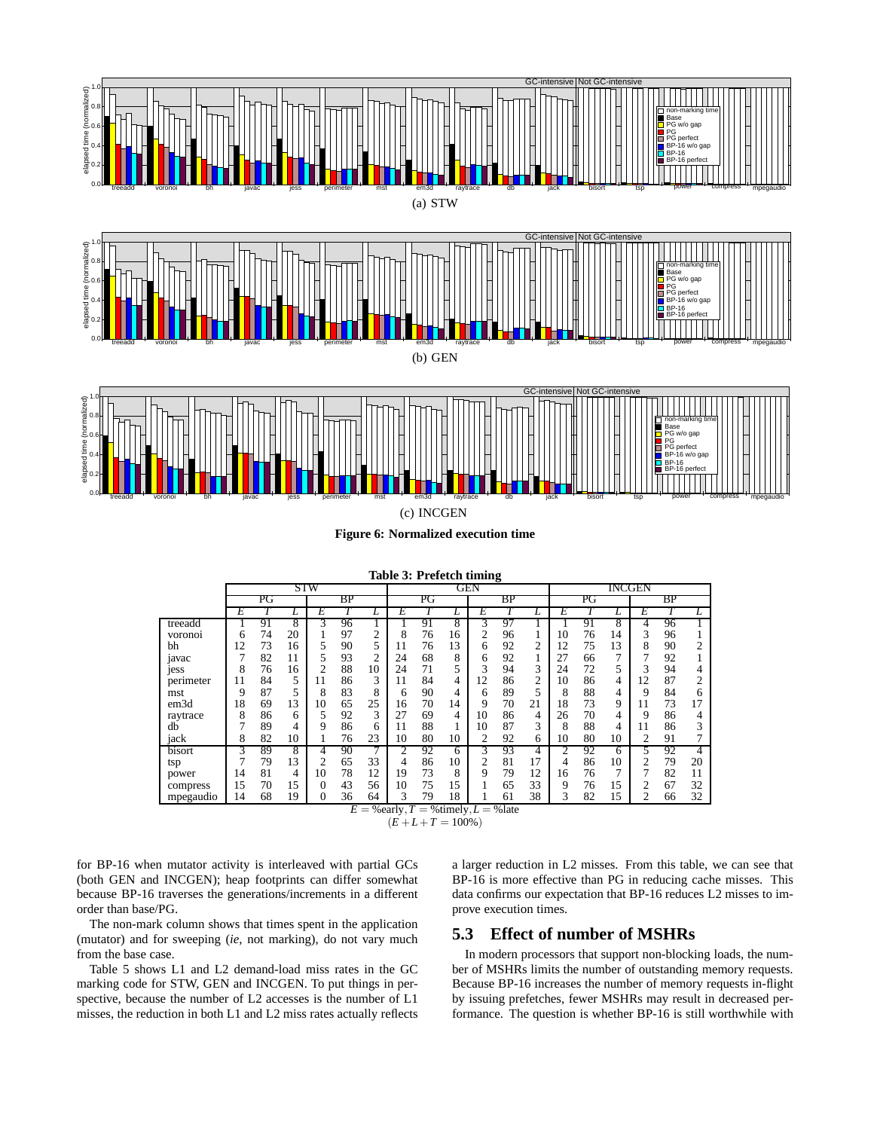

(c) INCGEN

**Figure 6: Normalized execution time**

|                  | <b>Table 3: Prefetch timing</b> |    |    |                |    |                |               |     |                |                |             |                |        |    |    |                |    |                |
|------------------|---------------------------------|----|----|----------------|----|----------------|---------------|-----|----------------|----------------|-------------|----------------|--------|----|----|----------------|----|----------------|
|                  | STW                             |    |    |                |    |                |               | GEN |                |                |             |                | INCGEN |    |    |                |    |                |
|                  |                                 | PG |    |                | ΒP |                | PG<br>BP      |     |                |                |             | PG             |        |    | BP |                |    |                |
|                  | E                               |    | L  | E              |    | L              | E             |     | L              | E              |             | L              | E      |    |    | E              |    |                |
| treeadd          |                                 | 91 | 8  | 3              | 96 |                |               | 91  | 8              | 3              | 97          |                |        | 91 | 8  | 4              | 96 |                |
| voronoi          | 6                               | 74 | 20 |                | 97 | $\overline{2}$ | 8             | 76  | 16             | 2              | 96          |                | 10     | 76 | 14 | 3              | 96 |                |
| bh               | 12                              | 73 | 16 | 5              | 90 | 5              | 11            | 76  | 13             | 6              | 92          | 2              | 12     | 75 | 13 | 8              | 90 | 2              |
| javac            | 7                               | 82 | 11 | 5              | 93 | $\overline{c}$ | 24            | 68  | 8              | 6              | 92          |                | 27     | 66 | 7  | 7              | 92 |                |
| jess             | 8                               | 76 | 16 | $\overline{c}$ | 88 | 10             | 24            | 71  | 5              | 3              | 94          | 3              | 24     | 72 | 5  | 3              | 94 | 4              |
| perimeter        | 11                              | 84 | 5  | 11             | 86 | 3              | 11            | 84  | 4              | 12             | 86          | $\overline{c}$ | 10     | 86 | 4  | 12             | 87 | 2              |
| mst              | 9                               | 87 | 5  | 8              | 83 | 8              | 6             | 90  | 4              | 6              | 89          |                | 8      | 88 | 4  | 9              | 84 | 6              |
| em <sub>3d</sub> | 18                              | 69 | 13 | 10             | 65 | 25             | 16            | 70  | 14             | 9              | 70          | 21             | 18     | 73 | 9  | 11             | 73 | 17             |
| raytrace         | 8                               | 86 | 6  | 5              | 92 | 3              | 27            | 69  | 4              | 10             | 86          | 4              | 26     | 70 | 4  | 9              | 86 | $\overline{4}$ |
| db               | ┑                               | 89 | 4  | 9              | 86 | 6              | 11            | 88  | 1              | 10             | 87          | 3              | 8      | 88 | 4  | 11             | 86 | 3              |
| jack             | 8                               | 82 | 10 |                | 76 | 23             | 10            | 80  | 10             | $\overline{c}$ | 92          | 6              | 10     | 80 | 10 | $\overline{c}$ | 91 | 7              |
| bisort           | 3                               | 89 | 8  | 4              | 90 |                | 2             | 92  | 6              | 3              | 93          | 4              | 2      | 92 | 6  | 5              | 92 | $\overline{4}$ |
| tsp              |                                 | 79 | 13 | 2              | 65 | 33             | 4             | 86  | 10             | 2              | 81          | 17             | 4      | 86 | 10 | $\overline{2}$ | 79 | 20             |
| power            | 14                              | 81 | 4  | 10             | 78 | 12             | 19            | 73  | 8              | 9              | 79          | 12             | 16     | 76 |    | 7              | 82 | 11             |
| compress         | 15                              | 70 | 15 | $\overline{0}$ | 43 | 56             | 10            | 75  | 15             |                | 65          | 33             | 9      | 76 | 15 | $\overline{2}$ | 67 | 32             |
| mpegaudio        | 14                              | 68 | 19 | 0              | 36 | 64             | 3             | 79  | 18             |                | 61          | 38             | 3      | 82 | 15 | $\overline{2}$ | 66 | 32             |
|                  |                                 |    |    |                |    | $F =$          | $0/2$ and $T$ |     | $= 0/4$ timely |                | $= 0/1$ ata |                |        |    |    |                |    |                |

$$
E = %early, T = %timely, L = %late
$$

$$
(E + L + T = 100%)
$$

for BP-16 when mutator activity is interleaved with partial GCs (both GEN and INCGEN); heap footprints can differ somewhat because BP-16 traverses the generations/increments in a different order than base/PG.

The non-mark column shows that times spent in the application (mutator) and for sweeping (*ie*, not marking), do not vary much from the base case.

Table 5 shows L1 and L2 demand-load miss rates in the GC marking code for STW, GEN and INCGEN. To put things in perspective, because the number of L2 accesses is the number of L1 misses, the reduction in both L1 and L2 miss rates actually reflects a larger reduction in L2 misses. From this table, we can see that BP-16 is more effective than PG in reducing cache misses. This data confirms our expectation that BP-16 reduces L2 misses to improve execution times.

# **5.3 Effect of number of MSHRs**

In modern processors that support non-blocking loads, the number of MSHRs limits the number of outstanding memory requests. Because BP-16 increases the number of memory requests in-flight by issuing prefetches, fewer MSHRs may result in decreased performance. The question is whether BP-16 is still worthwhile with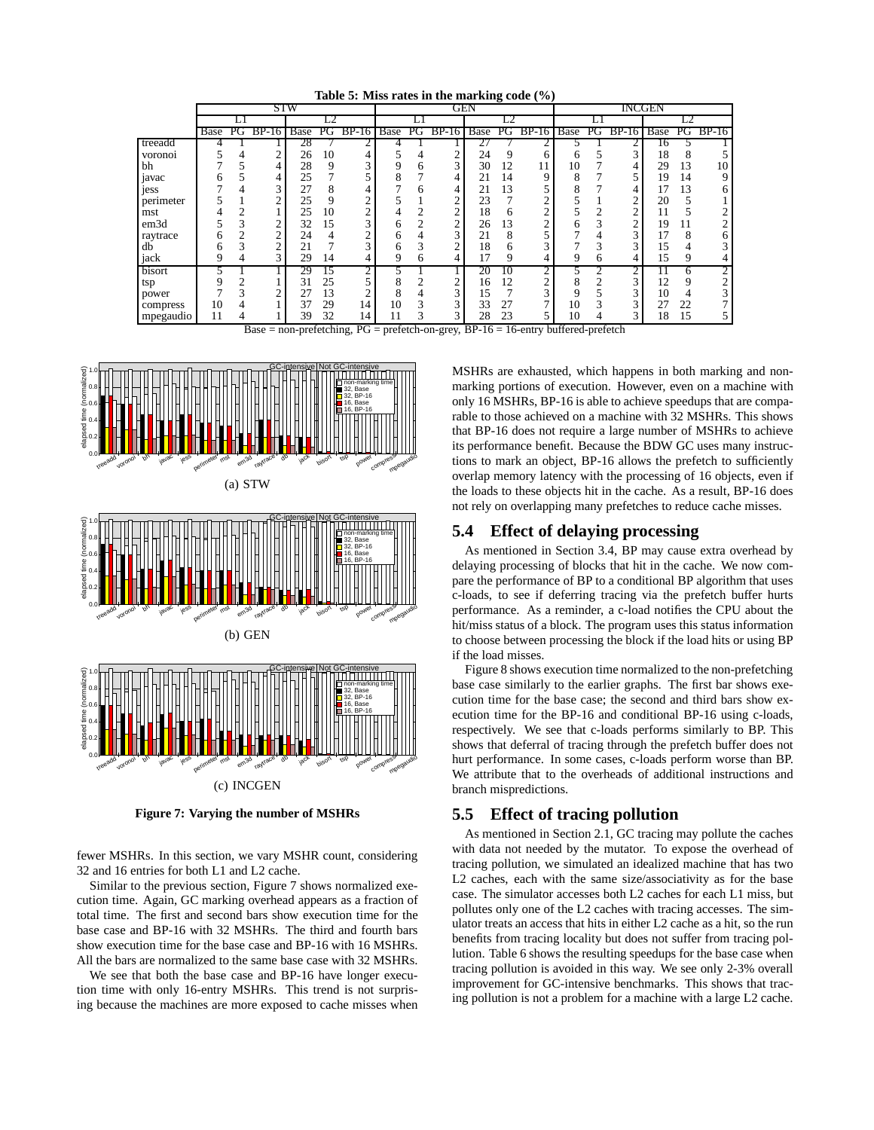|                  | Table 5: Miss rates in the marking code $(\% )$ |    |          |      |    |        |             |    |              |             |    |            |        |      |                      |             |    |          |
|------------------|-------------------------------------------------|----|----------|------|----|--------|-------------|----|--------------|-------------|----|------------|--------|------|----------------------|-------------|----|----------|
|                  |                                                 |    | STW      |      |    |        | GEN         |    |              |             |    |            | INCGEN |      |                      |             |    |          |
|                  |                                                 | L. |          |      | L2 |        |             |    |              |             | L2 |            |        |      |                      | L2          |    |          |
|                  | <b>Base</b>                                     |    | PG BP-16 | Base | PG | BP-16  | <b>Base</b> | PG | <b>BP-16</b> | <b>Base</b> | PG | BP-16 Base |        | PG - | <b>BP-161</b>        | <b>Base</b> |    | PG BP-16 |
| treeadd          |                                                 |    |          | 28   |    |        |             |    |              |             |    |            |        |      |                      | 16          |    |          |
| voronoi          |                                                 |    |          | 26   | 10 |        |             |    |              | 24          | 9  | 6          | h      |      | 3                    | 18          | Ω  |          |
| bh               |                                                 |    | 4        | 28   | 9  |        |             | 6  | ◠            | 30          | 12 |            | 10     |      | 4                    | 29          | 13 | 10       |
| javac            |                                                 |    | 4        | 25   |    |        | ð           |    |              | 21          | 14 | Q          | 8      |      |                      | 19          | 14 |          |
| jess             |                                                 |    | ⌒        | 27   | 8  |        |             |    |              |             | 13 |            | 8      |      |                      | 17          | 13 |          |
| perimeter        |                                                 |    |          | 25   | 9  |        |             |    | ◠            | 23          |    |            |        |      | ◠                    | 20          |    |          |
| mst              |                                                 |    |          | 25   | 10 |        |             |    | 2            | 18          | 6  |            |        | 2    | ◠                    | 11          |    |          |
| em <sub>3d</sub> |                                                 |    |          | 32   | 15 |        | 6           |    | っ            | 26          | 13 |            | h      |      |                      | 19          |    |          |
| raytrace         | h.                                              |    | ◠        | 24   |    | ◠      | 6           |    | $\sim$       | 21          | 8  |            |        |      | $\overline{ }$       | 17          | 8  |          |
| db               |                                                 |    | ◠        | 21   |    | ⌒<br>Ć | 6           |    | ◠            | 18          | 6  |            |        | 3    | ◠                    | 15          |    |          |
| jack             |                                                 |    | 3        | 29   | 14 | 4      | 9           | h  |              | 17          | 9  | 4          | 9      | 6    | 4                    | 15          | 9  |          |
| bisort           |                                                 |    |          | 29   | 15 | ာ      | 5           |    |              | 20          | 10 |            |        |      | 2                    | 11          | h  |          |
| tsp              |                                                 |    |          | 31   | 25 |        | δ           |    |              | 16          | 12 |            | 8      | 2    | 3                    | 12          |    |          |
| power            |                                                 |    | ⌒        | 27   | 13 |        | δ           |    | $\sim$       | 15          |    |            |        |      | $\overline{ }$<br>J. | 10          |    |          |
| compress         | 10                                              |    |          | 37   | 29 | 14     | 10          |    | $\sim$       | 33          | 27 |            | 10     | ⌒    | $\sim$               | 27          | 22 |          |
| mpegaudio        | 11                                              |    |          | 39   | 32 | 14     |             |    |              | 28          | 23 |            | 10     |      |                      | 18          | 15 |          |

Base = non-prefetching, PG = prefetch-on-grey, BP-16 = 16-entry buffered-prefetch



**Figure 7: Varying the number of MSHRs**

fewer MSHRs. In this section, we vary MSHR count, considering 32 and 16 entries for both L1 and L2 cache.

Similar to the previous section, Figure 7 shows normalized execution time. Again, GC marking overhead appears as a fraction of total time. The first and second bars show execution time for the base case and BP-16 with 32 MSHRs. The third and fourth bars show execution time for the base case and BP-16 with 16 MSHRs. All the bars are normalized to the same base case with 32 MSHRs.

We see that both the base case and BP-16 have longer execution time with only 16-entry MSHRs. This trend is not surprising because the machines are more exposed to cache misses when MSHRs are exhausted, which happens in both marking and nonmarking portions of execution. However, even on a machine with only 16 MSHRs, BP-16 is able to achieve speedups that are comparable to those achieved on a machine with 32 MSHRs. This shows that BP-16 does not require a large number of MSHRs to achieve its performance benefit. Because the BDW GC uses many instructions to mark an object, BP-16 allows the prefetch to sufficiently overlap memory latency with the processing of 16 objects, even if the loads to these objects hit in the cache. As a result, BP-16 does not rely on overlapping many prefetches to reduce cache misses.

#### **5.4 Effect of delaying processing**

As mentioned in Section 3.4, BP may cause extra overhead by delaying processing of blocks that hit in the cache. We now compare the performance of BP to a conditional BP algorithm that uses c-loads, to see if deferring tracing via the prefetch buffer hurts performance. As a reminder, a c-load notifies the CPU about the hit/miss status of a block. The program uses this status information to choose between processing the block if the load hits or using BP if the load misses.

Figure 8 shows execution time normalized to the non-prefetching base case similarly to the earlier graphs. The first bar shows execution time for the base case; the second and third bars show execution time for the BP-16 and conditional BP-16 using c-loads, respectively. We see that c-loads performs similarly to BP. This shows that deferral of tracing through the prefetch buffer does not hurt performance. In some cases, c-loads perform worse than BP. We attribute that to the overheads of additional instructions and branch mispredictions.

## **5.5 Effect of tracing pollution**

As mentioned in Section 2.1, GC tracing may pollute the caches with data not needed by the mutator. To expose the overhead of tracing pollution, we simulated an idealized machine that has two L2 caches, each with the same size/associativity as for the base case. The simulator accesses both L2 caches for each L1 miss, but pollutes only one of the L2 caches with tracing accesses. The simulator treats an access that hits in either L2 cache as a hit, so the run benefits from tracing locality but does not suffer from tracing pollution. Table 6 shows the resulting speedups for the base case when tracing pollution is avoided in this way. We see only 2-3% overall improvement for GC-intensive benchmarks. This shows that tracing pollution is not a problem for a machine with a large L2 cache.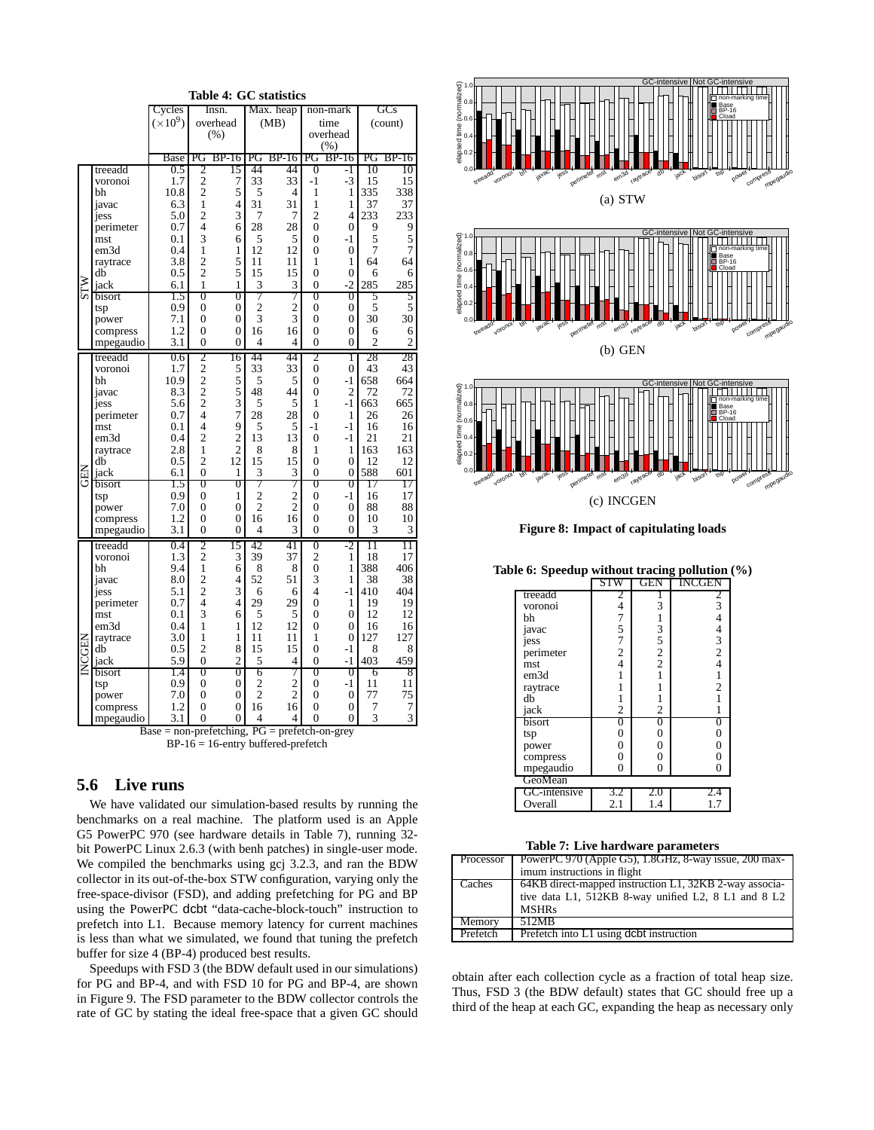|              | <b>Table 4: GC statistics</b> |                           |                                                 |                     |                         |                         |                                  |                |                |                                            |  |  |  |
|--------------|-------------------------------|---------------------------|-------------------------------------------------|---------------------|-------------------------|-------------------------|----------------------------------|----------------|----------------|--------------------------------------------|--|--|--|
|              |                               | Cycles                    |                                                 | Insn.               |                         | Max. heap               |                                  | non-mark       |                | GCs                                        |  |  |  |
|              |                               | $(x10^9)$                 |                                                 | overhead            |                         | (MB)                    |                                  | time           | (count)        |                                            |  |  |  |
|              |                               |                           |                                                 | (%)                 |                         |                         |                                  | overhead       |                |                                            |  |  |  |
|              |                               |                           |                                                 |                     |                         |                         |                                  | (%)            |                |                                            |  |  |  |
|              | treeadd                       | Base                      | PG                                              | BP-16<br>15         | PG<br>44                | BP-16<br>44             | PG<br>0                          | BP-16<br>-1    | PG<br>10       | $BP-16$<br>10                              |  |  |  |
|              | voronoi                       | 0.5<br>1.7                | $\frac{2}{2}$                                   | $\overline{7}$      | 33                      | 33                      | $-1$                             | $-3$           | 15             | 15                                         |  |  |  |
|              | bh                            | 10.8                      | $\overline{2}$                                  | 5                   | 5                       | $\overline{4}$          | 1                                | 1              | 335            | 338                                        |  |  |  |
|              | javac                         | 6.3                       | $\mathbf{1}$                                    | 4                   | 31                      | 31                      | 1                                | 1              | 37             | 37                                         |  |  |  |
|              | jess                          | 5.0                       | $\overline{c}$                                  | 3                   | 7                       | 7                       | $\overline{c}$                   | 4              | 233            | 233                                        |  |  |  |
|              | perimeter                     | 0.7                       | $\overline{4}$                                  | 6                   | 28                      | 28                      | $\theta$                         | $\overline{0}$ | 9              |                                            |  |  |  |
|              | mst                           | 0.1                       | 3                                               | 6                   | 5                       | 5                       | $\overline{0}$                   | $-1$           | 5              | $\begin{array}{c} 9 \\ 5 \\ 7 \end{array}$ |  |  |  |
|              | em3d                          | 0.4                       | $\mathbf{1}$                                    | 1                   | 12                      | 12                      | $\overline{0}$                   | 0              | 7              |                                            |  |  |  |
|              | raytrace                      | 3.8                       | $\overline{c}$                                  | 5                   | 11                      | 11                      | 1                                | 1              | 64             | 64                                         |  |  |  |
|              | db                            | 0.5                       | $\overline{c}$                                  | 5                   | 15                      | 15                      | $\overline{0}$                   | $\overline{0}$ | 6              | 6                                          |  |  |  |
| <b>STW</b>   | jack                          | 6.1                       | $\mathbf{1}$                                    | 1                   | 3                       | 3                       | $\theta$                         | $-2$           | 285            | 285                                        |  |  |  |
|              | bisort                        | 1.5<br>0.9                | 0<br>$\overline{0}$                             | 0<br>$\overline{0}$ | 7<br>$\overline{2}$     | 7<br>$\overline{c}$     | 0<br>$\overline{0}$              | 0<br>0         | 5<br>5         | $\frac{5}{3}$                              |  |  |  |
|              | tsp<br>power                  | 7.1                       | $\overline{0}$                                  | $\overline{0}$      | $\overline{3}$          | 3                       | $\overline{0}$                   | 0              | 30             |                                            |  |  |  |
|              | compress                      | 1.2                       | $\overline{0}$                                  | $\overline{0}$      | 16                      | 16                      | $\theta$                         | $\theta$       | 6              | 6                                          |  |  |  |
|              | mpegaudio                     | 3.1                       | $\overline{0}$                                  | $\overline{0}$      | $\overline{4}$          | 4                       | $\overline{0}$                   | $\overline{0}$ | $\overline{c}$ | $\overline{c}$                             |  |  |  |
|              | treeadd                       | 0.6                       |                                                 | $\overline{16}$     | 44                      | 44                      | $\overline{2}$                   | $\overline{1}$ | 28             | 28                                         |  |  |  |
|              | voronoi                       | 1.7                       | $\frac{2}{2}$<br>$\frac{2}{2}$<br>$\frac{2}{4}$ |                     | 33                      | 33                      | $\overline{0}$                   | $\overline{0}$ | 43             | 43                                         |  |  |  |
|              | bh                            | 10.9                      |                                                 | 55537               | 5                       | 5                       | $\overline{0}$                   | $-1$           | 658            | 664                                        |  |  |  |
|              | javac                         | 8.3                       |                                                 |                     | 48                      | 44                      | $\overline{0}$                   | $\overline{c}$ | 72             | 72                                         |  |  |  |
|              | jess                          | 5.6                       |                                                 |                     | 5                       | 5                       | 1                                | $-1$           | 663            | 665                                        |  |  |  |
|              | perimeter                     | 0.7                       |                                                 |                     | 28                      | 28                      | $\overline{0}$                   | 1              | 26             | 26                                         |  |  |  |
|              | mst                           | 0.1                       | $\overline{4}$                                  | 9                   | 5                       | 5                       | $-1$                             | -1             | 16             | 16                                         |  |  |  |
|              | em3d                          | 0.4                       | $\overline{c}$                                  | $\overline{c}$      | 13                      | 13                      | $\overline{0}$                   | $-1$           | 21             | 21                                         |  |  |  |
|              | raytrace                      | 2.8                       | $\mathbf{1}$                                    | $\overline{2}$      | 8                       | 8                       | 1                                | 1              | 163            | 163                                        |  |  |  |
|              | db<br>jack                    | 0.5<br>6.1                | $\overline{c}$<br>$\theta$                      | 12<br>1             | 15<br>3                 | 15<br>3                 | 0<br>$\theta$                    | 0<br>$\theta$  | 12<br>588      | 12<br>601                                  |  |  |  |
| <b>NHO</b>   | bisort                        | 1.5                       | 0                                               | 0                   | 7                       | 7                       | 0                                | O              | 17             | 17                                         |  |  |  |
|              | tsp                           | 0.9                       | $\overline{0}$                                  | 1                   | $\overline{\mathbf{c}}$ | $\overline{c}$          | $\overline{0}$                   | -1             | 16             | 17                                         |  |  |  |
|              | power                         | 7.0                       | $\overline{0}$                                  | $\overline{0}$      | $\overline{c}$          | $\overline{c}$          | $\overline{0}$                   | 0              | 88             | 88                                         |  |  |  |
|              | compress                      | 1.2                       | $\overline{0}$                                  | $\overline{0}$      | 16                      | 16                      | $\overline{0}$                   | 0              | 10             | 10                                         |  |  |  |
|              | mpegaudio                     | 3.1                       | $\overline{0}$                                  | $\overline{0}$      | $\overline{4}$          | 3                       | $\overline{0}$                   | 0              | 3              | 3                                          |  |  |  |
|              | treeadd                       | 0.4                       | $\overline{2}$                                  | 15                  | 42                      | 41                      | $\overline{0}$                   | -2             | 11             | $\overline{11}$                            |  |  |  |
|              | voronoi                       | 1.3                       | $\overline{c}$                                  | 3                   | 39                      | 37                      | $\overline{c}$                   | 1              | 18             | 17                                         |  |  |  |
|              | bh                            | 9.4                       | $\mathbf{1}$                                    | 6                   | 8                       | 8                       | $\overline{0}$                   | 1              | 388            | 406                                        |  |  |  |
|              | javac                         | 8.0                       | $\overline{c}$                                  | $\overline{4}$      | 52                      | 51                      | 3                                | 1              | 38             | 38                                         |  |  |  |
|              | jess                          | 5.1                       | $\overline{c}$                                  | 3                   | 6                       | 6                       | $\overline{4}$                   | $-1$           | 410            | 404                                        |  |  |  |
|              | perimeter                     | 0.7                       | $\overline{4}$<br>3                             | $\overline{4}$<br>6 | 29<br>5                 | 29                      | $\overline{0}$<br>$\overline{0}$ | $\mathbf{1}$   | 19<br>12       | 19<br>12                                   |  |  |  |
|              | mst<br>em3d                   | 0.1<br>0.4                | 1                                               | 1                   | 12                      | 5<br>12                 | $\theta$                         | 0<br>0         | 16             | 16                                         |  |  |  |
|              | raytrace                      | 3.0                       | $\mathbf{1}$                                    | $\mathbf{1}$        | 11                      | 11                      | $\mathbf{1}$                     | 0              | 127            | 127                                        |  |  |  |
|              | db                            | 0.5                       | $\overline{2}$                                  | 8                   | 15                      | 15                      | 0                                | -1             | 8              | 8                                          |  |  |  |
| <b>ZEOUZ</b> | jack                          | 5.9                       | $\theta$                                        | $\overline{c}$      | 5                       | $\overline{4}$          | $\theta$                         | $-1$           | 403            | 459                                        |  |  |  |
|              | bisort                        | 1.4                       | 0                                               | 0                   | 6                       | 7                       | 0                                | 0              | 6              | 8                                          |  |  |  |
|              | tsp                           | 0.9                       | $\overline{0}$                                  | $\theta$            | $\overline{2}$          | $\overline{2}$          | $\theta$                         | $-1$           | 11             | 11                                         |  |  |  |
|              | power                         | 7.0                       | $\overline{0}$                                  | $\overline{0}$      | $\overline{c}$          | $\overline{c}$          | 0                                | 0              | 77             | 75                                         |  |  |  |
|              | compress                      | 1.2                       | $\overline{0}$                                  | $\overline{0}$      | 16                      | 16                      | $\overline{0}$                   | 0              | 7              | 7                                          |  |  |  |
|              | mpegaudio                     | 3.1                       | $\overline{0}$                                  | 0                   | 4                       | 4                       | $\theta$                         | 0              | 3              | 3                                          |  |  |  |
|              |                               | $Base = non-prefetching,$ |                                                 |                     |                         | $PG = prefetch-on-grey$ |                                  |                |                |                                            |  |  |  |

BP-16 = 16-entry buffered-prefetch

# **5.6 Live runs**

We have validated our simulation-based results by running the benchmarks on a real machine. The platform used is an Apple G5 PowerPC 970 (see hardware details in Table 7), running 32 bit PowerPC Linux 2.6.3 (with benh patches) in single-user mode. We compiled the benchmarks using gcj 3.2.3, and ran the BDW collector in its out-of-the-box STW configuration, varying only the free-space-divisor (FSD), and adding prefetching for PG and BP using the PowerPC dcbt "data-cache-block-touch" instruction to prefetch into L1. Because memory latency for current machines is less than what we simulated, we found that tuning the prefetch buffer for size 4 (BP-4) produced best results.

Speedups with FSD 3 (the BDW default used in our simulations) for PG and BP-4, and with FSD 10 for PG and BP-4, are shown in Figure 9. The FSD parameter to the BDW collector controls the rate of GC by stating the ideal free-space that a given GC should







**Figure 8: Impact of capitulating loads**

**Table 6: Speedup without tracing pollution (%)**

|                  | STW            | GEN            | INCGEN         |
|------------------|----------------|----------------|----------------|
| treeadd          | 2              |                | 2              |
| voronoi          | $\overline{4}$ | 3              | 3              |
| bh               | 7              |                | 4              |
| javac            | $\frac{1}{5}$  |                | 4              |
| jess             | $\overline{7}$ | $\frac{3}{5}$  | 3              |
| perimeter        | $\frac{2}{4}$  |                | $\overline{c}$ |
| <sub>mst</sub>   |                | $\frac{2}{2}$  | $\overline{4}$ |
| em <sub>3d</sub> |                | 1              |                |
| raytrace         |                |                | $\overline{c}$ |
| db               |                |                |                |
| jack             | 2              | 2              |                |
| bisort           | 0              | 0              | 0              |
| tsp              | 0              | 0              | 0              |
| power            | 0              | 0              | 0              |
| compress         | 0              | $\overline{0}$ | $\Omega$       |
| mpegaudio        | 0              | 0              | 0              |
| GeoMean          |                |                |                |
| GC-intensive     | 3.2            | 2.0            | 2.4            |
| Overall          | 2.1            | 1.4            | 1.7            |

|  |  |  |  | <b>Table 7: Live hardware parameters</b> |
|--|--|--|--|------------------------------------------|
|--|--|--|--|------------------------------------------|

| Processor | PowerPC 970 (Apple G5), 1.8GHz, 8-way issue, 200 max-  |
|-----------|--------------------------------------------------------|
|           | imum instructions in flight                            |
| Caches    | 64KB direct-mapped instruction L1, 32KB 2-way associa- |
|           | tive data L1, 512KB 8-way unified L2, 8 L1 and 8 L2    |
|           | <b>MSHRs</b>                                           |
| Memory    | 512MB                                                  |
| Prefetch  | Prefetch into L1 using dcbt instruction                |
|           |                                                        |

obtain after each collection cycle as a fraction of total heap size. Thus, FSD 3 (the BDW default) states that GC should free up a third of the heap at each GC, expanding the heap as necessary only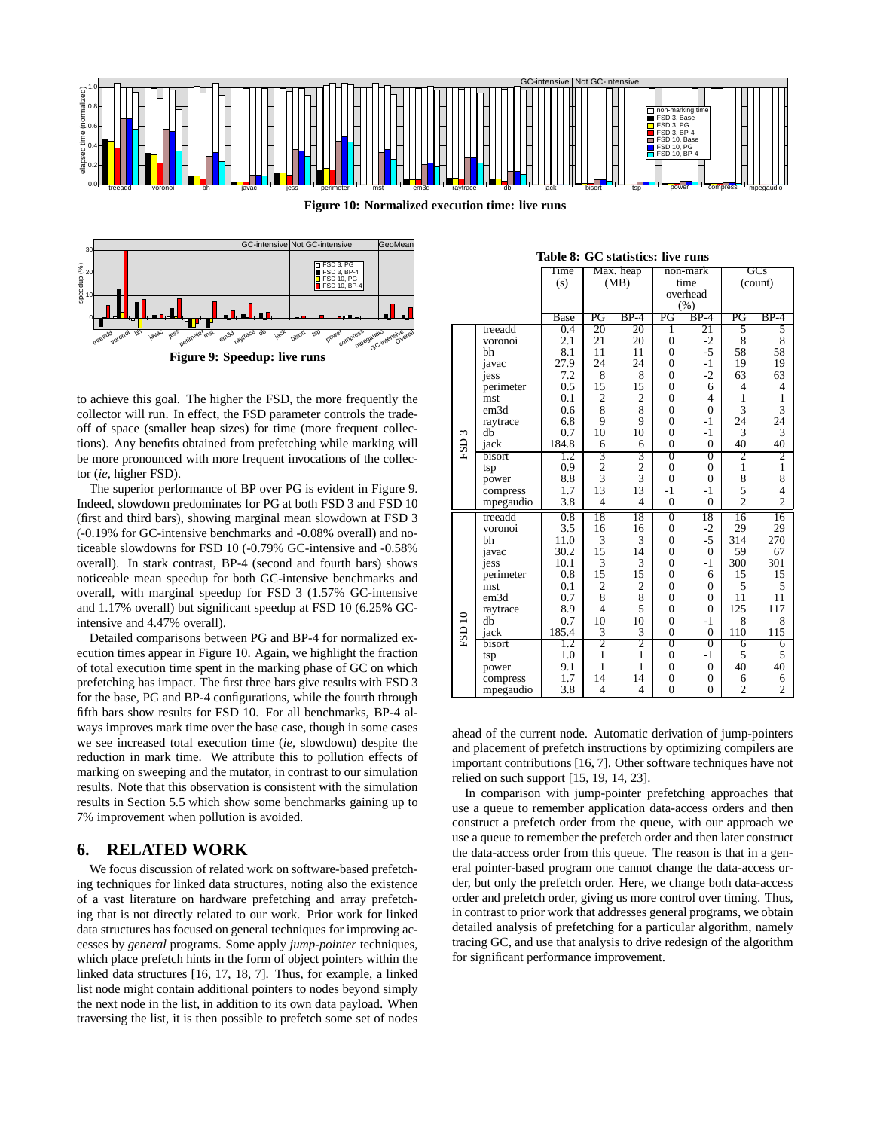

**Figure 10: Normalized execution time: live runs**



to achieve this goal. The higher the FSD, the more frequently the collector will run. In effect, the FSD parameter controls the tradeoff of space (smaller heap sizes) for time (more frequent collections). Any benefits obtained from prefetching while marking will be more pronounced with more frequent invocations of the collector (*ie*, higher FSD).

The superior performance of BP over PG is evident in Figure 9. Indeed, slowdown predominates for PG at both FSD 3 and FSD 10 (first and third bars), showing marginal mean slowdown at FSD 3 (-0.19% for GC-intensive benchmarks and -0.08% overall) and noticeable slowdowns for FSD 10 (-0.79% GC-intensive and -0.58% overall). In stark contrast, BP-4 (second and fourth bars) shows noticeable mean speedup for both GC-intensive benchmarks and overall, with marginal speedup for FSD 3 (1.57% GC-intensive and 1.17% overall) but significant speedup at FSD 10 (6.25% GCintensive and 4.47% overall).

Detailed comparisons between PG and BP-4 for normalized execution times appear in Figure 10. Again, we highlight the fraction of total execution time spent in the marking phase of GC on which prefetching has impact. The first three bars give results with FSD 3 for the base, PG and BP-4 configurations, while the fourth through fifth bars show results for FSD 10. For all benchmarks, BP-4 always improves mark time over the base case, though in some cases we see increased total execution time (*ie*, slowdown) despite the reduction in mark time. We attribute this to pollution effects of marking on sweeping and the mutator, in contrast to our simulation results. Note that this observation is consistent with the simulation results in Section 5.5 which show some benchmarks gaining up to 7% improvement when pollution is avoided.

# **6. RELATED WORK**

We focus discussion of related work on software-based prefetching techniques for linked data structures, noting also the existence of a vast literature on hardware prefetching and array prefetching that is not directly related to our work. Prior work for linked data structures has focused on general techniques for improving accesses by *general* programs. Some apply *jump-pointer* techniques, which place prefetch hints in the form of object pointers within the linked data structures [16, 17, 18, 7]. Thus, for example, a linked list node might contain additional pointers to nodes beyond simply the next node in the list, in addition to its own data payload. When traversing the list, it is then possible to prefetch some set of nodes

#### **Table 8: GC statistics: live runs**

|        |                  | Time  |                | Max. heap      |                | non-mark       |                                     | GCs            |
|--------|------------------|-------|----------------|----------------|----------------|----------------|-------------------------------------|----------------|
|        |                  | (s)   |                | (MB)           |                | time           |                                     | (count)        |
|        |                  |       |                |                |                | overhead       |                                     |                |
|        |                  |       |                |                |                | (% )           |                                     |                |
|        |                  | Base  | PG             | BP-4           | PG             | BP-4           | PG                                  | BP-4           |
|        | treeadd          | 0.4   | 20             | 20             | T              | 21             | 5                                   | 5              |
|        | voronoi          | 2.1   | 21             | 20             | $\overline{0}$ | $-2$           | 8                                   | 8              |
|        | bh               | 8.1   | 11             | 11             | $\overline{0}$ | $-5$           | 58                                  | 58             |
|        | javac            | 27.9  | 24             | 24             | $\overline{0}$ | $-1$           | 19                                  | 19             |
|        | jess             | 7.2   | 8              | 8              | $\overline{0}$ | $-2$           | 63                                  | 63             |
|        | perimeter        | 0.5   | 15             | 15             | $\overline{0}$ | 6              | $\overline{4}$                      | $\overline{4}$ |
|        | mst              | 0.1   | $\overline{c}$ | $\overline{c}$ | $\mathbf{0}$   | 4              | $\mathbf{1}$                        | $\mathbf{1}$   |
|        | em <sub>3d</sub> | 0.6   | $\bar{8}$      | 8              | $\mathbf{0}$   | $\overline{0}$ | 3                                   | 3              |
|        | raytrace         | 6.8   | 9              | 9              | $\overline{0}$ | $-1$           | 24                                  | 24             |
| 3      | db               | 0.7   | 10             | 10             | $\overline{0}$ | $-1$           | 3                                   | 3              |
| ESD    | jack             | 184.8 | 6              | 6              | $\mathbf{0}$   | $\overline{0}$ | 40                                  | 40             |
|        | bisort           | 1.2   | 3              | 3              | 0              | 0              | 2                                   | 2              |
|        | tsp              | 0.9   | $\overline{c}$ | $\overline{c}$ | $\mathbf{0}$   | $\overline{0}$ | $\,1\,$                             | $\mathbf{1}$   |
|        | power            | 8.8   | 3              | 3              | $\mathbf{0}$   | $\overline{0}$ | $\begin{matrix}8\\5\\2\end{matrix}$ | 8              |
|        | compress         | 1.7   | 13             | 13             | $-1$           | $-1$           |                                     | $\overline{4}$ |
|        | mpegaudio        | 3.8   | $\overline{4}$ | $\overline{4}$ | $\overline{0}$ | $\overline{0}$ |                                     | $\overline{2}$ |
|        | treeadd          | 0.8   | 18             | 18             | $\overline{0}$ | 18             | 16                                  | 16             |
|        | voronoi          | 3.5   | 16             | 16             | $\mathbf{0}$   | $-2$           | 29                                  | 29             |
|        | bh               | 11.0  | 3              | 3              | $\overline{0}$ | $-5$           | 314                                 | 270            |
|        | javac            | 30.2  | 15             | 14             | $\overline{0}$ | $\overline{0}$ | 59                                  | 67             |
|        | jess             | 10.1  | 3              | 3              | $\mathbf{0}$   | $-1$           | 300                                 | 301            |
|        | perimeter        | 0.8   | 15             | 15             | $\overline{0}$ | 6              | 15                                  | 15             |
|        | mst              | 0.1   | $\overline{c}$ | $\overline{c}$ | $\overline{0}$ | $\theta$       | 5                                   | 5              |
|        | em <sub>3d</sub> | 0.7   | 8              | 8              | $\overline{0}$ | $\overline{0}$ | 11                                  | 11             |
|        | raytrace         | 8.9   | $\overline{4}$ | 5              | $\overline{0}$ | $\overline{0}$ | 125                                 | 117            |
|        | db               | 0.7   | 10             | 10             | $\overline{0}$ | $-1$           | 8                                   | 8              |
| FSD 10 | jack             | 185.4 | 3              | 3              | $\overline{0}$ | $\overline{0}$ | 110                                 | 115            |
|        | bisort           | 1.2   | $\overline{2}$ | $\overline{2}$ | $\overline{0}$ | 0              | 6                                   | 6              |
|        | tsp              | 1.0   | $\mathbf{1}$   | $\mathbf{1}$   | $\overline{0}$ | $-1$           | 5                                   | 5              |
|        | power            | 9.1   | $\mathbf{1}$   | 1              | $\overline{0}$ | $\overline{0}$ | 40                                  | 40             |
|        | compress         | 1.7   | 14             | 14             | $\mathbf{0}$   | $\overline{0}$ | 6                                   | 6              |
|        | mpegaudio        | 3.8   | $\overline{4}$ | $\overline{4}$ | $\overline{0}$ | $\overline{0}$ | $\overline{2}$                      | $\overline{2}$ |

ahead of the current node. Automatic derivation of jump-pointers and placement of prefetch instructions by optimizing compilers are important contributions [16, 7]. Other software techniques have not relied on such support [15, 19, 14, 23].

In comparison with jump-pointer prefetching approaches that use a queue to remember application data-access orders and then construct a prefetch order from the queue, with our approach we use a queue to remember the prefetch order and then later construct the data-access order from this queue. The reason is that in a general pointer-based program one cannot change the data-access order, but only the prefetch order. Here, we change both data-access order and prefetch order, giving us more control over timing. Thus, in contrast to prior work that addresses general programs, we obtain detailed analysis of prefetching for a particular algorithm, namely tracing GC, and use that analysis to drive redesign of the algorithm for significant performance improvement.